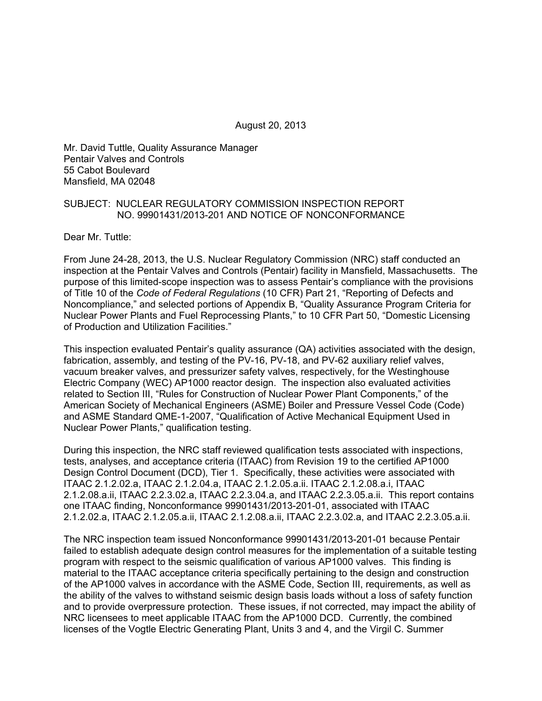August 20, 2013

Mr. David Tuttle, Quality Assurance Manager Pentair Valves and Controls 55 Cabot Boulevard Mansfield, MA 02048

#### SUBJECT: NUCLEAR REGULATORY COMMISSION INSPECTION REPORT NO. 99901431/2013-201 AND NOTICE OF NONCONFORMANCE

Dear Mr. Tuttle:

From June 24-28, 2013, the U.S. Nuclear Regulatory Commission (NRC) staff conducted an inspection at the Pentair Valves and Controls (Pentair) facility in Mansfield, Massachusetts. The purpose of this limited-scope inspection was to assess Pentair's compliance with the provisions of Title 10 of the *Code of Federal Regulations* (10 CFR) Part 21, "Reporting of Defects and Noncompliance," and selected portions of Appendix B, "Quality Assurance Program Criteria for Nuclear Power Plants and Fuel Reprocessing Plants," to 10 CFR Part 50, "Domestic Licensing of Production and Utilization Facilities."

This inspection evaluated Pentair's quality assurance (QA) activities associated with the design, fabrication, assembly, and testing of the PV-16, PV-18, and PV-62 auxiliary relief valves, vacuum breaker valves, and pressurizer safety valves, respectively, for the Westinghouse Electric Company (WEC) AP1000 reactor design. The inspection also evaluated activities related to Section III, "Rules for Construction of Nuclear Power Plant Components," of the American Society of Mechanical Engineers (ASME) Boiler and Pressure Vessel Code (Code) and ASME Standard QME-1-2007, "Qualification of Active Mechanical Equipment Used in Nuclear Power Plants," qualification testing.

During this inspection, the NRC staff reviewed qualification tests associated with inspections, tests, analyses, and acceptance criteria (ITAAC) from Revision 19 to the certified AP1000 Design Control Document (DCD), Tier 1. Specifically, these activities were associated with ITAAC 2.1.2.02.a, ITAAC 2.1.2.04.a, ITAAC 2.1.2.05.a.ii. ITAAC 2.1.2.08.a.i, ITAAC 2.1.2.08.a.ii, ITAAC 2.2.3.02.a, ITAAC 2.2.3.04.a, and ITAAC 2.2.3.05.a.ii. This report contains one ITAAC finding, Nonconformance 99901431/2013-201-01, associated with ITAAC 2.1.2.02.a, ITAAC 2.1.2.05.a.ii, ITAAC 2.1.2.08.a.ii, ITAAC 2.2.3.02.a, and ITAAC 2.2.3.05.a.ii.

The NRC inspection team issued Nonconformance 99901431/2013-201-01 because Pentair failed to establish adequate design control measures for the implementation of a suitable testing program with respect to the seismic qualification of various AP1000 valves. This finding is material to the ITAAC acceptance criteria specifically pertaining to the design and construction of the AP1000 valves in accordance with the ASME Code, Section III, requirements, as well as the ability of the valves to withstand seismic design basis loads without a loss of safety function and to provide overpressure protection. These issues, if not corrected, may impact the ability of NRC licensees to meet applicable ITAAC from the AP1000 DCD. Currently, the combined licenses of the Vogtle Electric Generating Plant, Units 3 and 4, and the Virgil C. Summer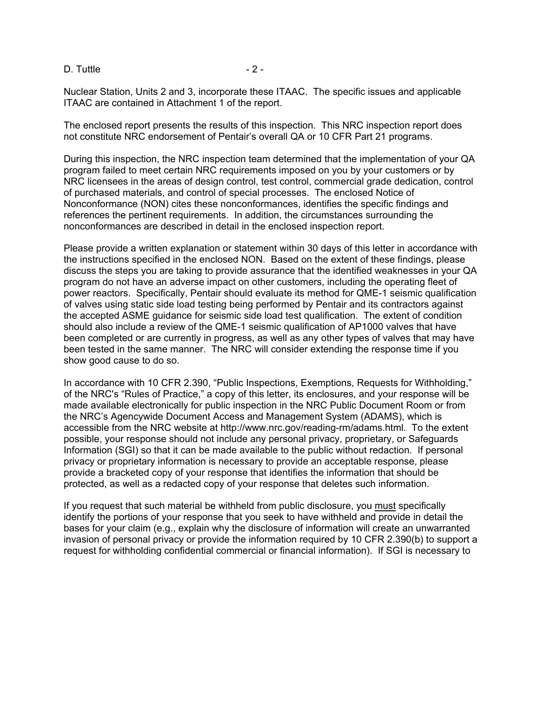D. Tuttle  $-2 -$ 

Nuclear Station, Units 2 and 3, incorporate these ITAAC. The specific issues and applicable ITAAC are contained in Attachment 1 of the report.

The enclosed report presents the results of this inspection. This NRC inspection report does not constitute NRC endorsement of Pentair's overall QA or 10 CFR Part 21 programs.

During this inspection, the NRC inspection team determined that the implementation of your QA program failed to meet certain NRC requirements imposed on you by your customers or by NRC licensees in the areas of design control, test control, commercial grade dedication, control of purchased materials, and control of special processes. The enclosed Notice of Nonconformance (NON) cites these nonconformances, identifies the specific findings and references the pertinent requirements. In addition, the circumstances surrounding the nonconformances are described in detail in the enclosed inspection report.

Please provide a written explanation or statement within 30 days of this letter in accordance with the instructions specified in the enclosed NON. Based on the extent of these findings, please discuss the steps you are taking to provide assurance that the identified weaknesses in your QA program do not have an adverse impact on other customers, including the operating fleet of power reactors. Specifically, Pentair should evaluate its method for QME-1 seismic qualification of valves using static side load testing being performed by Pentair and its contractors against the accepted ASME guidance for seismic side load test qualification. The extent of condition should also include a review of the QME-1 seismic qualification of AP1000 valves that have been completed or are currently in progress, as well as any other types of valves that may have been tested in the same manner. The NRC will consider extending the response time if you show good cause to do so.

In accordance with 10 CFR 2.390, "Public Inspections, Exemptions, Requests for Withholding," of the NRC's "Rules of Practice," a copy of this letter, its enclosures, and your response will be made available electronically for public inspection in the NRC Public Document Room or from the NRC's Agencywide Document Access and Management System (ADAMS), which is accessible from the NRC website at http://www.nrc.gov/reading-rm/adams.html. To the extent possible, your response should not include any personal privacy, proprietary, or Safeguards Information (SGI) so that it can be made available to the public without redaction. If personal privacy or proprietary information is necessary to provide an acceptable response, please provide a bracketed copy of your response that identifies the information that should be protected, as well as a redacted copy of your response that deletes such information.

If you request that such material be withheld from public disclosure, you must specifically identify the portions of your response that you seek to have withheld and provide in detail the bases for your claim (e.g., explain why the disclosure of information will create an unwarranted invasion of personal privacy or provide the information required by 10 CFR 2.390(b) to support a request for withholding confidential commercial or financial information). If SGI is necessary to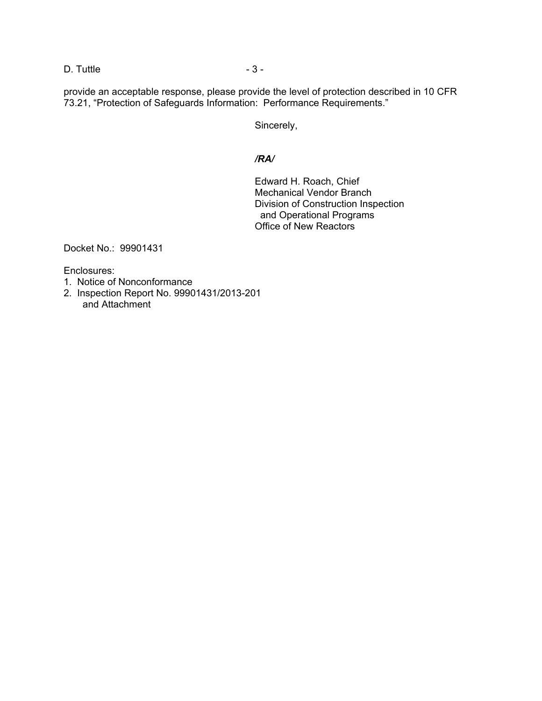### D. Tuttle  $-3 -$

provide an acceptable response, please provide the level of protection described in 10 CFR 73.21, "Protection of Safeguards Information: Performance Requirements."

Sincerely,

#### */RA/*

Edward H. Roach, Chief Mechanical Vendor Branch Division of Construction Inspection and Operational Programs Office of New Reactors

Docket No.: 99901431

Enclosures:

- 1. Notice of Nonconformance
- 2. Inspection Report No. 99901431/2013-201 and Attachment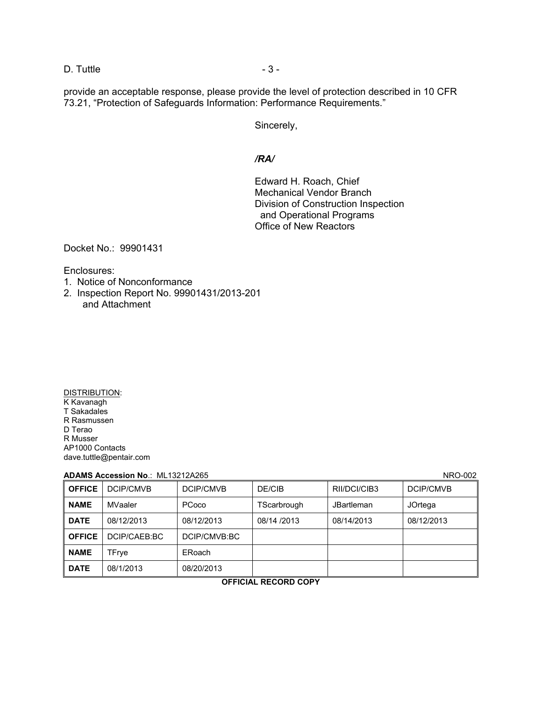#### D. Tuttle  $-3 -$

provide an acceptable response, please provide the level of protection described in 10 CFR 73.21, "Protection of Safeguards Information: Performance Requirements."

Sincerely,

#### */RA/*

Edward H. Roach, Chief Mechanical Vendor Branch Division of Construction Inspection and Operational Programs Office of New Reactors

Docket No.: 99901431

Enclosures:

- 1. Notice of Nonconformance
- 2. Inspection Report No. 99901431/2013-201 and Attachment

DISTRIBUTION: K Kavanagh T Sakadales R Rasmussen D Terao R Musser AP1000 Contacts dave.tuttle@pentair.com

#### **ADAMS Accession No.: ML13212A265**

| NRO-002 |  |
|---------|--|
|---------|--|

| <b>OFFICE</b> | DCIP/CMVB      | DCIP/CMVB    | DE/CIB      | RII/DCI/CIB3      | DCIP/CMVB  |
|---------------|----------------|--------------|-------------|-------------------|------------|
| <b>NAME</b>   | <b>MVaaler</b> | PCoco        | TScarbrough | <b>JBartleman</b> | JOrtega    |
| <b>DATE</b>   | 08/12/2013     | 08/12/2013   | 08/14 /2013 | 08/14/2013        | 08/12/2013 |
| <b>OFFICE</b> | DCIP/CAEB:BC   | DCIP/CMVB:BC |             |                   |            |
| <b>NAME</b>   | TFrye          | ERoach       |             |                   |            |
| <b>DATE</b>   | 08/1/2013      | 08/20/2013   |             |                   |            |

**OFFICIAL RECORD COPY**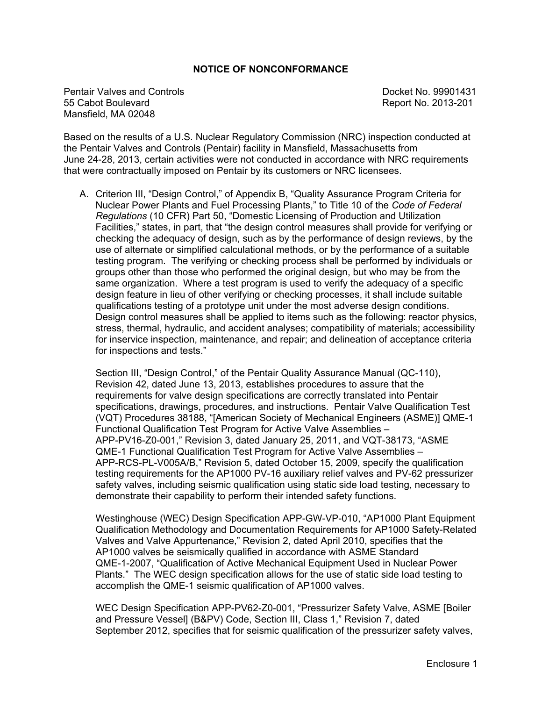## **NOTICE OF NONCONFORMANCE**

Pentair Valves and Controls Docket No. 99901431 55 Cabot Boulevard Report No. 2013-201 Mansfield, MA 02048

Based on the results of a U.S. Nuclear Regulatory Commission (NRC) inspection conducted at the Pentair Valves and Controls (Pentair) facility in Mansfield, Massachusetts from June 24-28, 2013, certain activities were not conducted in accordance with NRC requirements that were contractually imposed on Pentair by its customers or NRC licensees.

A. Criterion III, "Design Control," of Appendix B, "Quality Assurance Program Criteria for Nuclear Power Plants and Fuel Processing Plants," to Title 10 of the *Code of Federal Regulations* (10 CFR) Part 50, "Domestic Licensing of Production and Utilization Facilities," states, in part, that "the design control measures shall provide for verifying or checking the adequacy of design, such as by the performance of design reviews, by the use of alternate or simplified calculational methods, or by the performance of a suitable testing program. The verifying or checking process shall be performed by individuals or groups other than those who performed the original design, but who may be from the same organization. Where a test program is used to verify the adequacy of a specific design feature in lieu of other verifying or checking processes, it shall include suitable qualifications testing of a prototype unit under the most adverse design conditions. Design control measures shall be applied to items such as the following: reactor physics, stress, thermal, hydraulic, and accident analyses; compatibility of materials; accessibility for inservice inspection, maintenance, and repair; and delineation of acceptance criteria for inspections and tests."

Section III, "Design Control," of the Pentair Quality Assurance Manual (QC-110), Revision 42, dated June 13, 2013, establishes procedures to assure that the requirements for valve design specifications are correctly translated into Pentair specifications, drawings, procedures, and instructions. Pentair Valve Qualification Test (VQT) Procedures 38188, "[American Society of Mechanical Engineers (ASME)] QME-1 Functional Qualification Test Program for Active Valve Assemblies – APP-PV16-Z0-001," Revision 3, dated January 25, 2011, and VQT-38173, "ASME QME-1 Functional Qualification Test Program for Active Valve Assemblies – APP-RCS-PL-V005A/B," Revision 5, dated October 15, 2009, specify the qualification testing requirements for the AP1000 PV-16 auxiliary relief valves and PV-62 pressurizer safety valves, including seismic qualification using static side load testing, necessary to demonstrate their capability to perform their intended safety functions.

Westinghouse (WEC) Design Specification APP-GW-VP-010, "AP1000 Plant Equipment Qualification Methodology and Documentation Requirements for AP1000 Safety-Related Valves and Valve Appurtenance," Revision 2, dated April 2010, specifies that the AP1000 valves be seismically qualified in accordance with ASME Standard QME-1-2007, "Qualification of Active Mechanical Equipment Used in Nuclear Power Plants." The WEC design specification allows for the use of static side load testing to accomplish the QME-1 seismic qualification of AP1000 valves.

WEC Design Specification APP-PV62-Z0-001, "Pressurizer Safety Valve, ASME [Boiler and Pressure Vessel] (B&PV) Code, Section III, Class 1," Revision 7, dated September 2012, specifies that for seismic qualification of the pressurizer safety valves,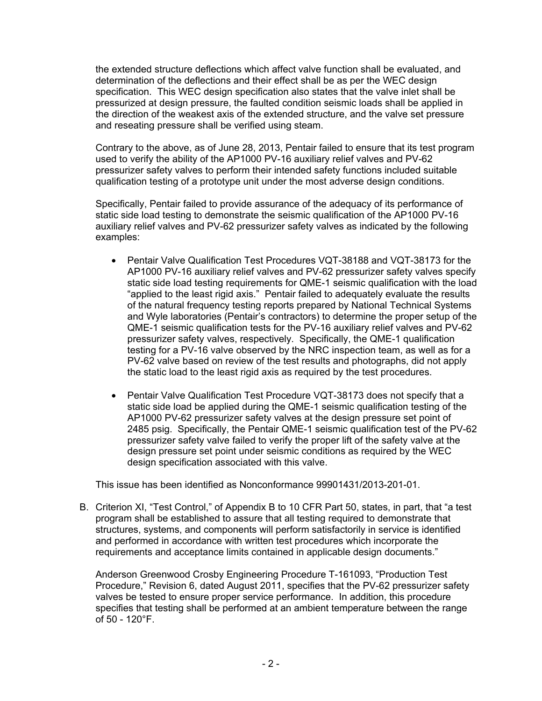the extended structure deflections which affect valve function shall be evaluated, and determination of the deflections and their effect shall be as per the WEC design specification. This WEC design specification also states that the valve inlet shall be pressurized at design pressure, the faulted condition seismic loads shall be applied in the direction of the weakest axis of the extended structure, and the valve set pressure and reseating pressure shall be verified using steam.

Contrary to the above, as of June 28, 2013, Pentair failed to ensure that its test program used to verify the ability of the AP1000 PV-16 auxiliary relief valves and PV-62 pressurizer safety valves to perform their intended safety functions included suitable qualification testing of a prototype unit under the most adverse design conditions.

Specifically, Pentair failed to provide assurance of the adequacy of its performance of static side load testing to demonstrate the seismic qualification of the AP1000 PV-16 auxiliary relief valves and PV-62 pressurizer safety valves as indicated by the following examples:

- Pentair Valve Qualification Test Procedures VQT-38188 and VQT-38173 for the AP1000 PV-16 auxiliary relief valves and PV-62 pressurizer safety valves specify static side load testing requirements for QME-1 seismic qualification with the load "applied to the least rigid axis." Pentair failed to adequately evaluate the results of the natural frequency testing reports prepared by National Technical Systems and Wyle laboratories (Pentair's contractors) to determine the proper setup of the QME-1 seismic qualification tests for the PV-16 auxiliary relief valves and PV-62 pressurizer safety valves, respectively. Specifically, the QME-1 qualification testing for a PV-16 valve observed by the NRC inspection team, as well as for a PV-62 valve based on review of the test results and photographs, did not apply the static load to the least rigid axis as required by the test procedures.
- Pentair Valve Qualification Test Procedure VQT-38173 does not specify that a static side load be applied during the QME-1 seismic qualification testing of the AP1000 PV-62 pressurizer safety valves at the design pressure set point of 2485 psig. Specifically, the Pentair QME-1 seismic qualification test of the PV-62 pressurizer safety valve failed to verify the proper lift of the safety valve at the design pressure set point under seismic conditions as required by the WEC design specification associated with this valve.

This issue has been identified as Nonconformance 99901431/2013-201-01.

B. Criterion XI, "Test Control," of Appendix B to 10 CFR Part 50, states, in part, that "a test program shall be established to assure that all testing required to demonstrate that structures, systems, and components will perform satisfactorily in service is identified and performed in accordance with written test procedures which incorporate the requirements and acceptance limits contained in applicable design documents."

Anderson Greenwood Crosby Engineering Procedure T-161093, "Production Test Procedure," Revision 6, dated August 2011, specifies that the PV-62 pressurizer safety valves be tested to ensure proper service performance. In addition, this procedure specifies that testing shall be performed at an ambient temperature between the range of 50 - 120°F.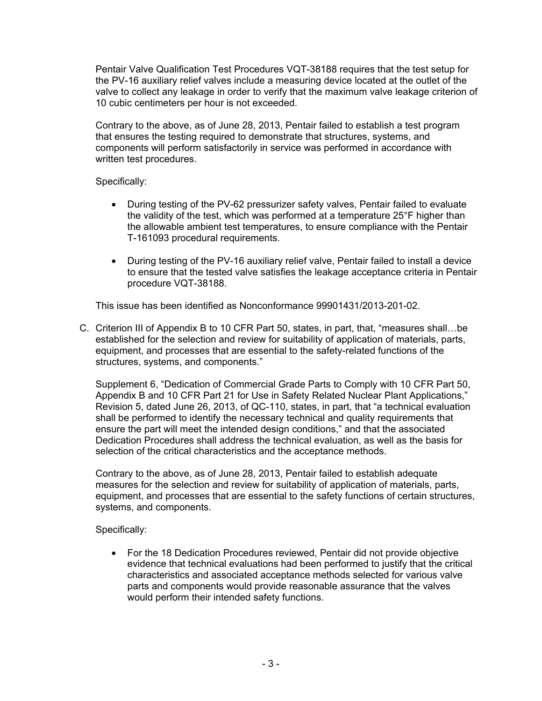Pentair Valve Qualification Test Procedures VQT-38188 requires that the test setup for the PV-16 auxiliary relief valves include a measuring device located at the outlet of the valve to collect any leakage in order to verify that the maximum valve leakage criterion of 10 cubic centimeters per hour is not exceeded.

Contrary to the above, as of June 28, 2013, Pentair failed to establish a test program that ensures the testing required to demonstrate that structures, systems, and components will perform satisfactorily in service was performed in accordance with written test procedures.

Specifically:

- During testing of the PV-62 pressurizer safety valves, Pentair failed to evaluate the validity of the test, which was performed at a temperature 25°F higher than the allowable ambient test temperatures, to ensure compliance with the Pentair T-161093 procedural requirements.
- During testing of the PV-16 auxiliary relief valve, Pentair failed to install a device to ensure that the tested valve satisfies the leakage acceptance criteria in Pentair procedure VQT-38188.

This issue has been identified as Nonconformance 99901431/2013-201-02.

C. Criterion III of Appendix B to 10 CFR Part 50, states, in part, that, "measures shall…be established for the selection and review for suitability of application of materials, parts, equipment, and processes that are essential to the safety-related functions of the structures, systems, and components."

Supplement 6, "Dedication of Commercial Grade Parts to Comply with 10 CFR Part 50, Appendix B and 10 CFR Part 21 for Use in Safety Related Nuclear Plant Applications," Revision 5, dated June 26, 2013, of QC-110, states, in part, that "a technical evaluation shall be performed to identify the necessary technical and quality requirements that ensure the part will meet the intended design conditions," and that the associated Dedication Procedures shall address the technical evaluation, as well as the basis for selection of the critical characteristics and the acceptance methods.

Contrary to the above, as of June 28, 2013, Pentair failed to establish adequate measures for the selection and review for suitability of application of materials, parts, equipment, and processes that are essential to the safety functions of certain structures, systems, and components.

Specifically:

• For the 18 Dedication Procedures reviewed, Pentair did not provide objective evidence that technical evaluations had been performed to justify that the critical characteristics and associated acceptance methods selected for various valve parts and components would provide reasonable assurance that the valves would perform their intended safety functions.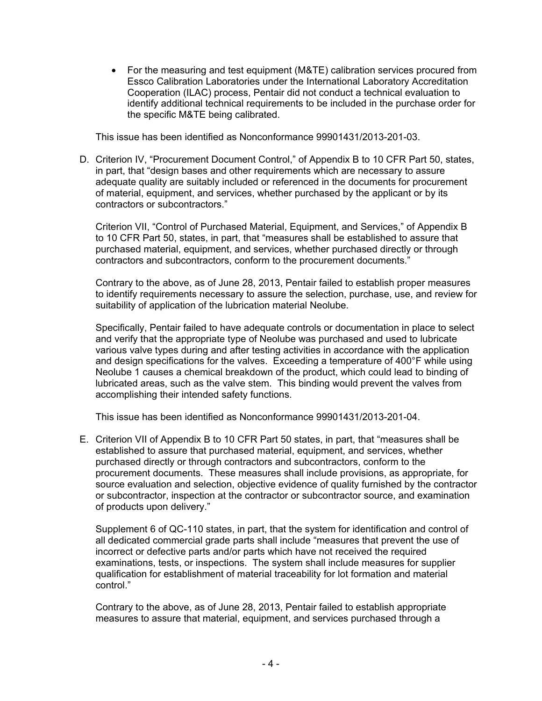• For the measuring and test equipment (M&TE) calibration services procured from Essco Calibration Laboratories under the International Laboratory Accreditation Cooperation (ILAC) process, Pentair did not conduct a technical evaluation to identify additional technical requirements to be included in the purchase order for the specific M&TE being calibrated.

This issue has been identified as Nonconformance 99901431/2013-201-03.

D. Criterion IV, "Procurement Document Control," of Appendix B to 10 CFR Part 50, states, in part, that "design bases and other requirements which are necessary to assure adequate quality are suitably included or referenced in the documents for procurement of material, equipment, and services, whether purchased by the applicant or by its contractors or subcontractors."

Criterion VII, "Control of Purchased Material, Equipment, and Services," of Appendix B to 10 CFR Part 50, states, in part, that "measures shall be established to assure that purchased material, equipment, and services, whether purchased directly or through contractors and subcontractors, conform to the procurement documents."

Contrary to the above, as of June 28, 2013, Pentair failed to establish proper measures to identify requirements necessary to assure the selection, purchase, use, and review for suitability of application of the lubrication material Neolube.

Specifically, Pentair failed to have adequate controls or documentation in place to select and verify that the appropriate type of Neolube was purchased and used to lubricate various valve types during and after testing activities in accordance with the application and design specifications for the valves. Exceeding a temperature of 400°F while using Neolube 1 causes a chemical breakdown of the product, which could lead to binding of lubricated areas, such as the valve stem. This binding would prevent the valves from accomplishing their intended safety functions.

This issue has been identified as Nonconformance 99901431/2013-201-04.

E. Criterion VII of Appendix B to 10 CFR Part 50 states, in part, that "measures shall be established to assure that purchased material, equipment, and services, whether purchased directly or through contractors and subcontractors, conform to the procurement documents. These measures shall include provisions, as appropriate, for source evaluation and selection, objective evidence of quality furnished by the contractor or subcontractor, inspection at the contractor or subcontractor source, and examination of products upon delivery."

Supplement 6 of QC-110 states, in part, that the system for identification and control of all dedicated commercial grade parts shall include "measures that prevent the use of incorrect or defective parts and/or parts which have not received the required examinations, tests, or inspections. The system shall include measures for supplier qualification for establishment of material traceability for lot formation and material control."

Contrary to the above, as of June 28, 2013, Pentair failed to establish appropriate measures to assure that material, equipment, and services purchased through a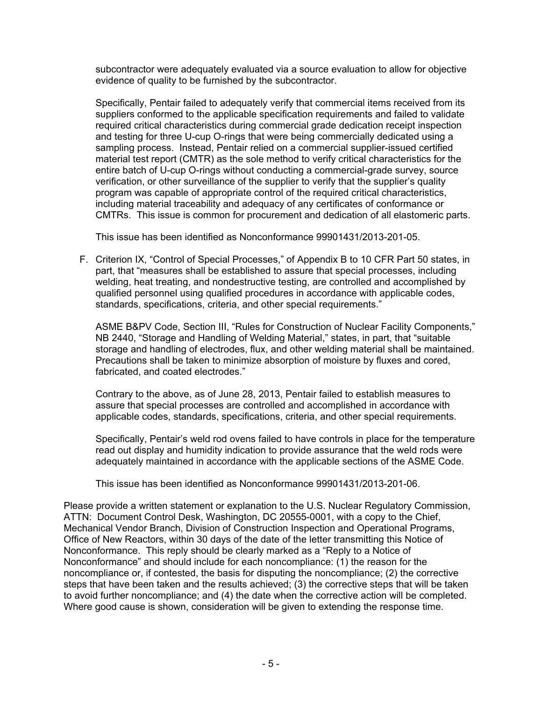subcontractor were adequately evaluated via a source evaluation to allow for objective evidence of quality to be furnished by the subcontractor.

Specifically, Pentair failed to adequately verify that commercial items received from its suppliers conformed to the applicable specification requirements and failed to validate required critical characteristics during commercial grade dedication receipt inspection and testing for three U-cup O-rings that were being commercially dedicated using a sampling process. Instead, Pentair relied on a commercial supplier-issued certified material test report (CMTR) as the sole method to verify critical characteristics for the entire batch of U-cup O-rings without conducting a commercial-grade survey, source verification, or other surveillance of the supplier to verify that the supplier's quality program was capable of appropriate control of the required critical characteristics, including material traceability and adequacy of any certificates of conformance or CMTRs. This issue is common for procurement and dedication of all elastomeric parts.

This issue has been identified as Nonconformance 99901431/2013-201-05.

F. Criterion IX, "Control of Special Processes," of Appendix B to 10 CFR Part 50 states, in part, that "measures shall be established to assure that special processes, including welding, heat treating, and nondestructive testing, are controlled and accomplished by qualified personnel using qualified procedures in accordance with applicable codes, standards, specifications, criteria, and other special requirements."

ASME B&PV Code, Section III, "Rules for Construction of Nuclear Facility Components," NB 2440, "Storage and Handling of Welding Material," states, in part, that "suitable storage and handling of electrodes, flux, and other welding material shall be maintained. Precautions shall be taken to minimize absorption of moisture by fluxes and cored, fabricated, and coated electrodes."

Contrary to the above, as of June 28, 2013, Pentair failed to establish measures to assure that special processes are controlled and accomplished in accordance with applicable codes, standards, specifications, criteria, and other special requirements.

Specifically, Pentair's weld rod ovens failed to have controls in place for the temperature read out display and humidity indication to provide assurance that the weld rods were adequately maintained in accordance with the applicable sections of the ASME Code.

This issue has been identified as Nonconformance 99901431/2013-201-06.

Please provide a written statement or explanation to the U.S. Nuclear Regulatory Commission, ATTN: Document Control Desk, Washington, DC 20555-0001, with a copy to the Chief, Mechanical Vendor Branch, Division of Construction Inspection and Operational Programs, Office of New Reactors, within 30 days of the date of the letter transmitting this Notice of Nonconformance. This reply should be clearly marked as a "Reply to a Notice of Nonconformance" and should include for each noncompliance: (1) the reason for the noncompliance or, if contested, the basis for disputing the noncompliance; (2) the corrective steps that have been taken and the results achieved; (3) the corrective steps that will be taken to avoid further noncompliance; and (4) the date when the corrective action will be completed. Where good cause is shown, consideration will be given to extending the response time.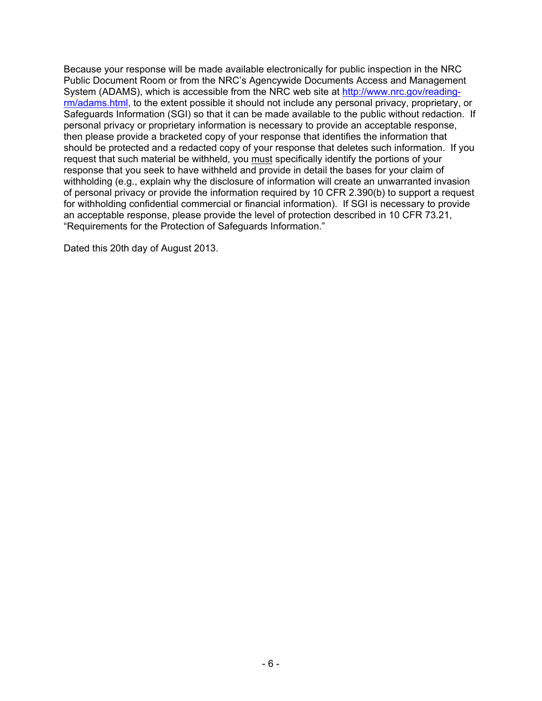Because your response will be made available electronically for public inspection in the NRC Public Document Room or from the NRC's Agencywide Documents Access and Management System (ADAMS), which is accessible from the NRC web site at http://www.nrc.gov/readingrm/adams.html, to the extent possible it should not include any personal privacy, proprietary, or Safeguards Information (SGI) so that it can be made available to the public without redaction. If personal privacy or proprietary information is necessary to provide an acceptable response, then please provide a bracketed copy of your response that identifies the information that should be protected and a redacted copy of your response that deletes such information. If you request that such material be withheld, you must specifically identify the portions of your response that you seek to have withheld and provide in detail the bases for your claim of withholding (e.g., explain why the disclosure of information will create an unwarranted invasion of personal privacy or provide the information required by 10 CFR 2.390(b) to support a request for withholding confidential commercial or financial information). If SGI is necessary to provide an acceptable response, please provide the level of protection described in 10 CFR 73.21, "Requirements for the Protection of Safeguards Information."

Dated this 20th day of August 2013.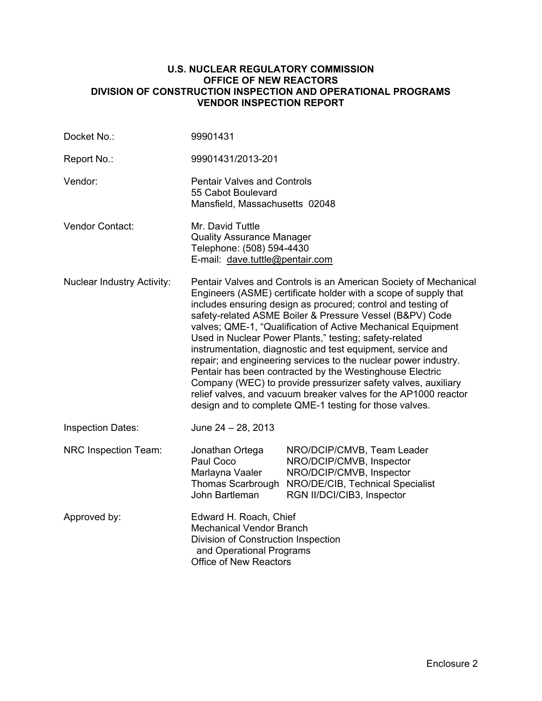#### **U.S. NUCLEAR REGULATORY COMMISSION OFFICE OF NEW REACTORS DIVISION OF CONSTRUCTION INSPECTION AND OPERATIONAL PROGRAMS VENDOR INSPECTION REPORT**

| Docket No.:                       | 99901431                                                                                                                                                                                                                                                                                                                                                                                                                                                                                                                                                                                                                                                                                                                                                                              |                                                                                                                                                      |  |
|-----------------------------------|---------------------------------------------------------------------------------------------------------------------------------------------------------------------------------------------------------------------------------------------------------------------------------------------------------------------------------------------------------------------------------------------------------------------------------------------------------------------------------------------------------------------------------------------------------------------------------------------------------------------------------------------------------------------------------------------------------------------------------------------------------------------------------------|------------------------------------------------------------------------------------------------------------------------------------------------------|--|
| Report No.:                       | 99901431/2013-201                                                                                                                                                                                                                                                                                                                                                                                                                                                                                                                                                                                                                                                                                                                                                                     |                                                                                                                                                      |  |
| Vendor:                           | <b>Pentair Valves and Controls</b><br>55 Cabot Boulevard<br>Mansfield, Massachusetts 02048                                                                                                                                                                                                                                                                                                                                                                                                                                                                                                                                                                                                                                                                                            |                                                                                                                                                      |  |
| <b>Vendor Contact:</b>            | Mr. David Tuttle<br><b>Quality Assurance Manager</b><br>Telephone: (508) 594-4430<br>E-mail: dave.tuttle@pentair.com                                                                                                                                                                                                                                                                                                                                                                                                                                                                                                                                                                                                                                                                  |                                                                                                                                                      |  |
| <b>Nuclear Industry Activity:</b> | Pentair Valves and Controls is an American Society of Mechanical<br>Engineers (ASME) certificate holder with a scope of supply that<br>includes ensuring design as procured; control and testing of<br>safety-related ASME Boiler & Pressure Vessel (B&PV) Code<br>valves; QME-1, "Qualification of Active Mechanical Equipment<br>Used in Nuclear Power Plants," testing; safety-related<br>instrumentation, diagnostic and test equipment, service and<br>repair; and engineering services to the nuclear power industry.<br>Pentair has been contracted by the Westinghouse Electric<br>Company (WEC) to provide pressurizer safety valves, auxiliary<br>relief valves, and vacuum breaker valves for the AP1000 reactor<br>design and to complete QME-1 testing for those valves. |                                                                                                                                                      |  |
| <b>Inspection Dates:</b>          | June $24 - 28$ , 2013                                                                                                                                                                                                                                                                                                                                                                                                                                                                                                                                                                                                                                                                                                                                                                 |                                                                                                                                                      |  |
| NRC Inspection Team:              | Jonathan Ortega<br>Paul Coco<br>Marlayna Vaaler<br><b>Thomas Scarbrough</b><br>John Bartleman                                                                                                                                                                                                                                                                                                                                                                                                                                                                                                                                                                                                                                                                                         | NRO/DCIP/CMVB, Team Leader<br>NRO/DCIP/CMVB, Inspector<br>NRO/DCIP/CMVB, Inspector<br>NRO/DE/CIB, Technical Specialist<br>RGN II/DCI/CIB3, Inspector |  |
| Approved by:                      | Edward H. Roach, Chief<br><b>Mechanical Vendor Branch</b><br>Division of Construction Inspection<br>and Operational Programs<br>Office of New Reactors                                                                                                                                                                                                                                                                                                                                                                                                                                                                                                                                                                                                                                |                                                                                                                                                      |  |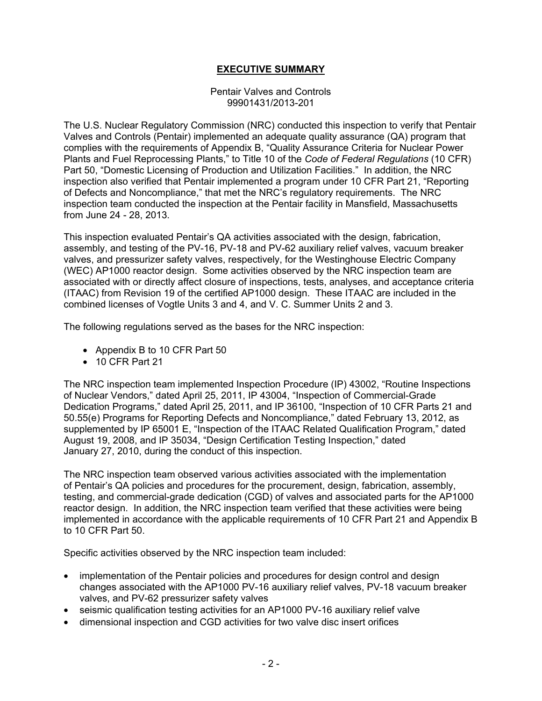# **EXECUTIVE SUMMARY**

#### Pentair Valves and Controls 99901431/2013-201

The U.S. Nuclear Regulatory Commission (NRC) conducted this inspection to verify that Pentair Valves and Controls (Pentair) implemented an adequate quality assurance (QA) program that complies with the requirements of Appendix B, "Quality Assurance Criteria for Nuclear Power Plants and Fuel Reprocessing Plants," to Title 10 of the *Code of Federal Regulations* (10 CFR) Part 50, "Domestic Licensing of Production and Utilization Facilities." In addition, the NRC inspection also verified that Pentair implemented a program under 10 CFR Part 21, "Reporting of Defects and Noncompliance," that met the NRC's regulatory requirements. The NRC inspection team conducted the inspection at the Pentair facility in Mansfield, Massachusetts from June 24 - 28, 2013.

This inspection evaluated Pentair's QA activities associated with the design, fabrication, assembly, and testing of the PV-16, PV-18 and PV-62 auxiliary relief valves, vacuum breaker valves, and pressurizer safety valves, respectively, for the Westinghouse Electric Company (WEC) AP1000 reactor design. Some activities observed by the NRC inspection team are associated with or directly affect closure of inspections, tests, analyses, and acceptance criteria (ITAAC) from Revision 19 of the certified AP1000 design. These ITAAC are included in the combined licenses of Vogtle Units 3 and 4, and V. C. Summer Units 2 and 3.

The following regulations served as the bases for the NRC inspection:

- Appendix B to 10 CFR Part 50
- 10 CFR Part 21

The NRC inspection team implemented Inspection Procedure (IP) 43002, "Routine Inspections of Nuclear Vendors," dated April 25, 2011, IP 43004, "Inspection of Commercial-Grade Dedication Programs," dated April 25, 2011, and IP 36100, "Inspection of 10 CFR Parts 21 and 50.55(e) Programs for Reporting Defects and Noncompliance," dated February 13, 2012, as supplemented by IP 65001 E, "Inspection of the ITAAC Related Qualification Program," dated August 19, 2008, and IP 35034, "Design Certification Testing Inspection," dated January 27, 2010, during the conduct of this inspection.

The NRC inspection team observed various activities associated with the implementation of Pentair's QA policies and procedures for the procurement, design, fabrication, assembly, testing, and commercial-grade dedication (CGD) of valves and associated parts for the AP1000 reactor design. In addition, the NRC inspection team verified that these activities were being implemented in accordance with the applicable requirements of 10 CFR Part 21 and Appendix B to 10 CFR Part 50.

Specific activities observed by the NRC inspection team included:

- implementation of the Pentair policies and procedures for design control and design changes associated with the AP1000 PV-16 auxiliary relief valves, PV-18 vacuum breaker valves, and PV-62 pressurizer safety valves
- seismic qualification testing activities for an AP1000 PV-16 auxiliary relief valve
- dimensional inspection and CGD activities for two valve disc insert orifices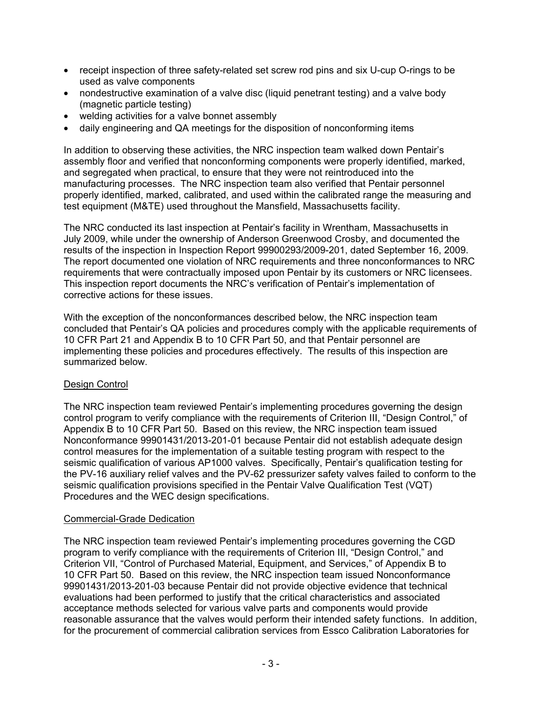- receipt inspection of three safety-related set screw rod pins and six U-cup O-rings to be used as valve components
- nondestructive examination of a valve disc (liquid penetrant testing) and a valve body (magnetic particle testing)
- welding activities for a valve bonnet assembly
- daily engineering and QA meetings for the disposition of nonconforming items

In addition to observing these activities, the NRC inspection team walked down Pentair's assembly floor and verified that nonconforming components were properly identified, marked, and segregated when practical, to ensure that they were not reintroduced into the manufacturing processes. The NRC inspection team also verified that Pentair personnel properly identified, marked, calibrated, and used within the calibrated range the measuring and test equipment (M&TE) used throughout the Mansfield, Massachusetts facility.

The NRC conducted its last inspection at Pentair's facility in Wrentham, Massachusetts in July 2009, while under the ownership of Anderson Greenwood Crosby, and documented the results of the inspection in Inspection Report 99900293/2009-201, dated September 16, 2009. The report documented one violation of NRC requirements and three nonconformances to NRC requirements that were contractually imposed upon Pentair by its customers or NRC licensees. This inspection report documents the NRC's verification of Pentair's implementation of corrective actions for these issues.

With the exception of the nonconformances described below, the NRC inspection team concluded that Pentair's QA policies and procedures comply with the applicable requirements of 10 CFR Part 21 and Appendix B to 10 CFR Part 50, and that Pentair personnel are implementing these policies and procedures effectively. The results of this inspection are summarized below.

## Design Control

The NRC inspection team reviewed Pentair's implementing procedures governing the design control program to verify compliance with the requirements of Criterion III, "Design Control," of Appendix B to 10 CFR Part 50. Based on this review, the NRC inspection team issued Nonconformance 99901431/2013-201-01 because Pentair did not establish adequate design control measures for the implementation of a suitable testing program with respect to the seismic qualification of various AP1000 valves. Specifically, Pentair's qualification testing for the PV-16 auxiliary relief valves and the PV-62 pressurizer safety valves failed to conform to the seismic qualification provisions specified in the Pentair Valve Qualification Test (VQT) Procedures and the WEC design specifications.

#### Commercial-Grade Dedication

The NRC inspection team reviewed Pentair's implementing procedures governing the CGD program to verify compliance with the requirements of Criterion III, "Design Control," and Criterion VII, "Control of Purchased Material, Equipment, and Services," of Appendix B to 10 CFR Part 50. Based on this review, the NRC inspection team issued Nonconformance 99901431/2013-201-03 because Pentair did not provide objective evidence that technical evaluations had been performed to justify that the critical characteristics and associated acceptance methods selected for various valve parts and components would provide reasonable assurance that the valves would perform their intended safety functions. In addition, for the procurement of commercial calibration services from Essco Calibration Laboratories for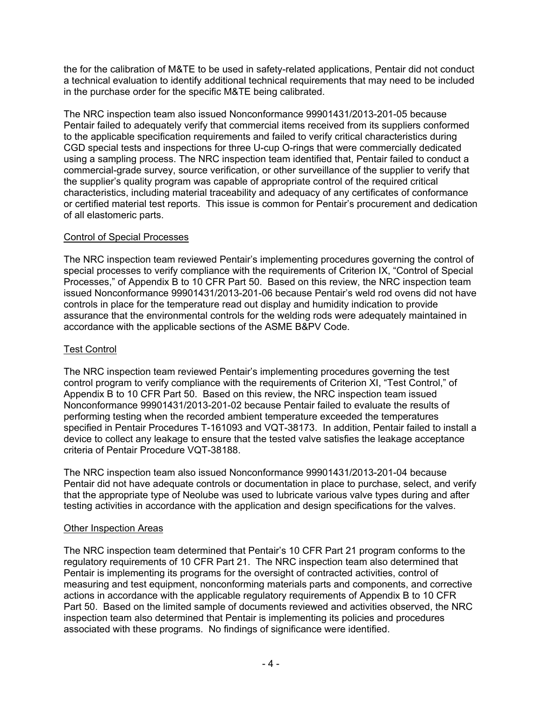the for the calibration of M&TE to be used in safety-related applications, Pentair did not conduct a technical evaluation to identify additional technical requirements that may need to be included in the purchase order for the specific M&TE being calibrated.

The NRC inspection team also issued Nonconformance 99901431/2013-201-05 because Pentair failed to adequately verify that commercial items received from its suppliers conformed to the applicable specification requirements and failed to verify critical characteristics during CGD special tests and inspections for three U-cup O-rings that were commercially dedicated using a sampling process. The NRC inspection team identified that, Pentair failed to conduct a commercial-grade survey, source verification, or other surveillance of the supplier to verify that the supplier's quality program was capable of appropriate control of the required critical characteristics, including material traceability and adequacy of any certificates of conformance or certified material test reports. This issue is common for Pentair's procurement and dedication of all elastomeric parts.

# Control of Special Processes

The NRC inspection team reviewed Pentair's implementing procedures governing the control of special processes to verify compliance with the requirements of Criterion IX, "Control of Special Processes," of Appendix B to 10 CFR Part 50. Based on this review, the NRC inspection team issued Nonconformance 99901431/2013-201-06 because Pentair's weld rod ovens did not have controls in place for the temperature read out display and humidity indication to provide assurance that the environmental controls for the welding rods were adequately maintained in accordance with the applicable sections of the ASME B&PV Code.

# Test Control

The NRC inspection team reviewed Pentair's implementing procedures governing the test control program to verify compliance with the requirements of Criterion XI, "Test Control," of Appendix B to 10 CFR Part 50. Based on this review, the NRC inspection team issued Nonconformance 99901431/2013-201-02 because Pentair failed to evaluate the results of performing testing when the recorded ambient temperature exceeded the temperatures specified in Pentair Procedures T-161093 and VQT-38173. In addition, Pentair failed to install a device to collect any leakage to ensure that the tested valve satisfies the leakage acceptance criteria of Pentair Procedure VQT-38188.

The NRC inspection team also issued Nonconformance 99901431/2013-201-04 because Pentair did not have adequate controls or documentation in place to purchase, select, and verify that the appropriate type of Neolube was used to lubricate various valve types during and after testing activities in accordance with the application and design specifications for the valves.

## Other Inspection Areas

The NRC inspection team determined that Pentair's 10 CFR Part 21 program conforms to the regulatory requirements of 10 CFR Part 21. The NRC inspection team also determined that Pentair is implementing its programs for the oversight of contracted activities, control of measuring and test equipment, nonconforming materials parts and components, and corrective actions in accordance with the applicable regulatory requirements of Appendix B to 10 CFR Part 50. Based on the limited sample of documents reviewed and activities observed, the NRC inspection team also determined that Pentair is implementing its policies and procedures associated with these programs. No findings of significance were identified.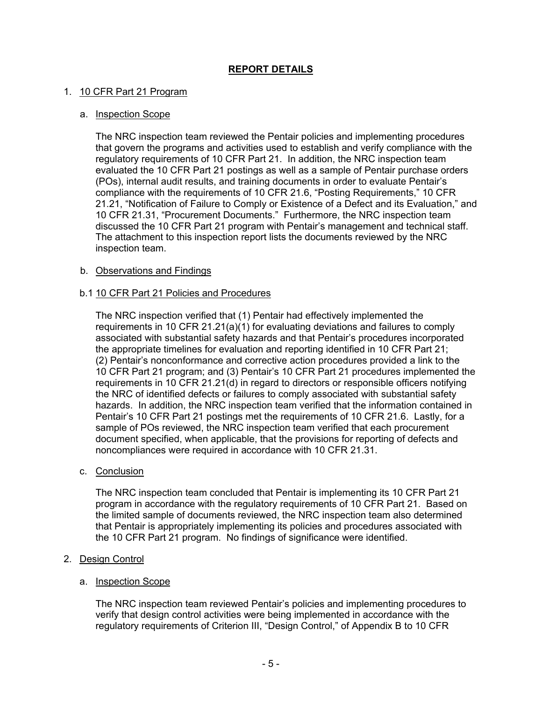# **REPORT DETAILS**

### 1. 10 CFR Part 21 Program

#### a. Inspection Scope

The NRC inspection team reviewed the Pentair policies and implementing procedures that govern the programs and activities used to establish and verify compliance with the regulatory requirements of 10 CFR Part 21. In addition, the NRC inspection team evaluated the 10 CFR Part 21 postings as well as a sample of Pentair purchase orders (POs), internal audit results, and training documents in order to evaluate Pentair's compliance with the requirements of 10 CFR 21.6, "Posting Requirements," 10 CFR 21.21, "Notification of Failure to Comply or Existence of a Defect and its Evaluation," and 10 CFR 21.31, "Procurement Documents." Furthermore, the NRC inspection team discussed the 10 CFR Part 21 program with Pentair's management and technical staff. The attachment to this inspection report lists the documents reviewed by the NRC inspection team.

### b. Observations and Findings

### b.1 10 CFR Part 21 Policies and Procedures

The NRC inspection verified that (1) Pentair had effectively implemented the requirements in 10 CFR 21.21(a)(1) for evaluating deviations and failures to comply associated with substantial safety hazards and that Pentair's procedures incorporated the appropriate timelines for evaluation and reporting identified in 10 CFR Part 21; (2) Pentair's nonconformance and corrective action procedures provided a link to the 10 CFR Part 21 program; and (3) Pentair's 10 CFR Part 21 procedures implemented the requirements in 10 CFR 21.21(d) in regard to directors or responsible officers notifying the NRC of identified defects or failures to comply associated with substantial safety hazards. In addition, the NRC inspection team verified that the information contained in Pentair's 10 CFR Part 21 postings met the requirements of 10 CFR 21.6. Lastly, for a sample of POs reviewed, the NRC inspection team verified that each procurement document specified, when applicable, that the provisions for reporting of defects and noncompliances were required in accordance with 10 CFR 21.31.

#### c. Conclusion

The NRC inspection team concluded that Pentair is implementing its 10 CFR Part 21 program in accordance with the regulatory requirements of 10 CFR Part 21. Based on the limited sample of documents reviewed, the NRC inspection team also determined that Pentair is appropriately implementing its policies and procedures associated with the 10 CFR Part 21 program. No findings of significance were identified.

## 2. Design Control

## a. Inspection Scope

The NRC inspection team reviewed Pentair's policies and implementing procedures to verify that design control activities were being implemented in accordance with the regulatory requirements of Criterion III, "Design Control," of Appendix B to 10 CFR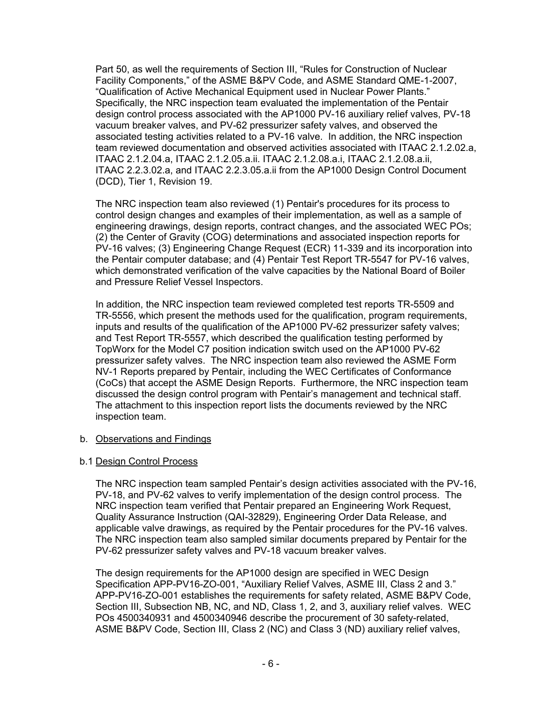Part 50, as well the requirements of Section III, "Rules for Construction of Nuclear Facility Components," of the ASME B&PV Code, and ASME Standard QME-1-2007, "Qualification of Active Mechanical Equipment used in Nuclear Power Plants." Specifically, the NRC inspection team evaluated the implementation of the Pentair design control process associated with the AP1000 PV-16 auxiliary relief valves, PV-18 vacuum breaker valves, and PV-62 pressurizer safety valves, and observed the associated testing activities related to a PV-16 valve. In addition, the NRC inspection team reviewed documentation and observed activities associated with ITAAC 2.1.2.02.a, ITAAC 2.1.2.04.a, ITAAC 2.1.2.05.a.ii. ITAAC 2.1.2.08.a.i, ITAAC 2.1.2.08.a.ii, ITAAC 2.2.3.02.a, and ITAAC 2.2.3.05.a.ii from the AP1000 Design Control Document (DCD), Tier 1, Revision 19.

The NRC inspection team also reviewed (1) Pentair's procedures for its process to control design changes and examples of their implementation, as well as a sample of engineering drawings, design reports, contract changes, and the associated WEC POs; (2) the Center of Gravity (COG) determinations and associated inspection reports for PV-16 valves; (3) Engineering Change Request (ECR) 11-339 and its incorporation into the Pentair computer database; and (4) Pentair Test Report TR-5547 for PV-16 valves, which demonstrated verification of the valve capacities by the National Board of Boiler and Pressure Relief Vessel Inspectors.

In addition, the NRC inspection team reviewed completed test reports TR-5509 and TR-5556, which present the methods used for the qualification, program requirements, inputs and results of the qualification of the AP1000 PV-62 pressurizer safety valves; and Test Report TR-5557, which described the qualification testing performed by TopWorx for the Model C7 position indication switch used on the AP1000 PV-62 pressurizer safety valves. The NRC inspection team also reviewed the ASME Form NV-1 Reports prepared by Pentair, including the WEC Certificates of Conformance (CoCs) that accept the ASME Design Reports. Furthermore, the NRC inspection team discussed the design control program with Pentair's management and technical staff. The attachment to this inspection report lists the documents reviewed by the NRC inspection team.

## b. Observations and Findings

#### b.1 Design Control Process

The NRC inspection team sampled Pentair's design activities associated with the PV-16, PV-18, and PV-62 valves to verify implementation of the design control process. The NRC inspection team verified that Pentair prepared an Engineering Work Request, Quality Assurance Instruction (QAI-32829), Engineering Order Data Release, and applicable valve drawings, as required by the Pentair procedures for the PV-16 valves. The NRC inspection team also sampled similar documents prepared by Pentair for the PV-62 pressurizer safety valves and PV-18 vacuum breaker valves.

The design requirements for the AP1000 design are specified in WEC Design Specification APP-PV16-ZO-001, "Auxiliary Relief Valves, ASME III, Class 2 and 3." APP-PV16-ZO-001 establishes the requirements for safety related, ASME B&PV Code, Section III, Subsection NB, NC, and ND, Class 1, 2, and 3, auxiliary relief valves. WEC POs 4500340931 and 4500340946 describe the procurement of 30 safety-related, ASME B&PV Code, Section III, Class 2 (NC) and Class 3 (ND) auxiliary relief valves,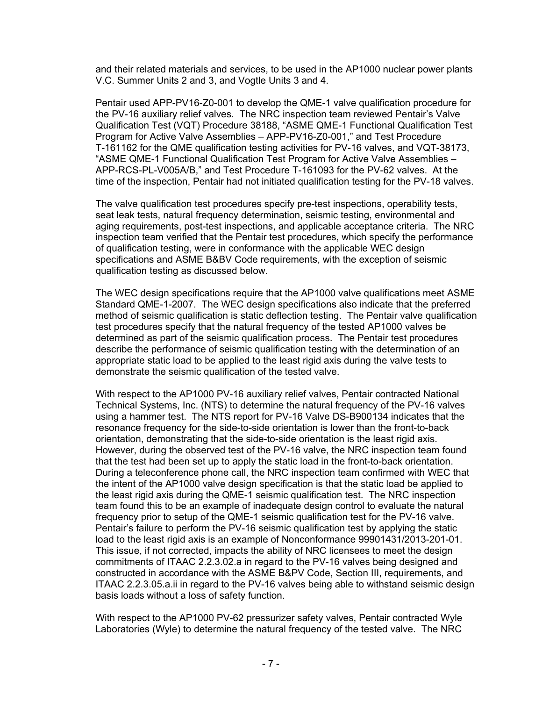and their related materials and services, to be used in the AP1000 nuclear power plants V.C. Summer Units 2 and 3, and Vogtle Units 3 and 4.

Pentair used APP-PV16-Z0-001 to develop the QME-1 valve qualification procedure for the PV-16 auxiliary relief valves. The NRC inspection team reviewed Pentair's Valve Qualification Test (VQT) Procedure 38188, "ASME QME-1 Functional Qualification Test Program for Active Valve Assemblies – APP-PV16-Z0-001," and Test Procedure T-161162 for the QME qualification testing activities for PV-16 valves, and VQT-38173, "ASME QME-1 Functional Qualification Test Program for Active Valve Assemblies – APP-RCS-PL-V005A/B," and Test Procedure T-161093 for the PV-62 valves. At the time of the inspection, Pentair had not initiated qualification testing for the PV-18 valves.

The valve qualification test procedures specify pre-test inspections, operability tests, seat leak tests, natural frequency determination, seismic testing, environmental and aging requirements, post-test inspections, and applicable acceptance criteria. The NRC inspection team verified that the Pentair test procedures, which specify the performance of qualification testing, were in conformance with the applicable WEC design specifications and ASME B&BV Code requirements, with the exception of seismic qualification testing as discussed below.

The WEC design specifications require that the AP1000 valve qualifications meet ASME Standard QME-1-2007. The WEC design specifications also indicate that the preferred method of seismic qualification is static deflection testing. The Pentair valve qualification test procedures specify that the natural frequency of the tested AP1000 valves be determined as part of the seismic qualification process. The Pentair test procedures describe the performance of seismic qualification testing with the determination of an appropriate static load to be applied to the least rigid axis during the valve tests to demonstrate the seismic qualification of the tested valve.

With respect to the AP1000 PV-16 auxiliary relief valves, Pentair contracted National Technical Systems, Inc. (NTS) to determine the natural frequency of the PV-16 valves using a hammer test. The NTS report for PV-16 Valve DS-B900134 indicates that the resonance frequency for the side-to-side orientation is lower than the front-to-back orientation, demonstrating that the side-to-side orientation is the least rigid axis. However, during the observed test of the PV-16 valve, the NRC inspection team found that the test had been set up to apply the static load in the front-to-back orientation. During a teleconference phone call, the NRC inspection team confirmed with WEC that the intent of the AP1000 valve design specification is that the static load be applied to the least rigid axis during the QME-1 seismic qualification test. The NRC inspection team found this to be an example of inadequate design control to evaluate the natural frequency prior to setup of the QME-1 seismic qualification test for the PV-16 valve. Pentair's failure to perform the PV-16 seismic qualification test by applying the static load to the least rigid axis is an example of Nonconformance 99901431/2013-201-01. This issue, if not corrected, impacts the ability of NRC licensees to meet the design commitments of ITAAC 2.2.3.02.a in regard to the PV-16 valves being designed and constructed in accordance with the ASME B&PV Code, Section III, requirements, and ITAAC 2.2.3.05.a.ii in regard to the PV-16 valves being able to withstand seismic design basis loads without a loss of safety function.

With respect to the AP1000 PV-62 pressurizer safety valves, Pentair contracted Wyle Laboratories (Wyle) to determine the natural frequency of the tested valve. The NRC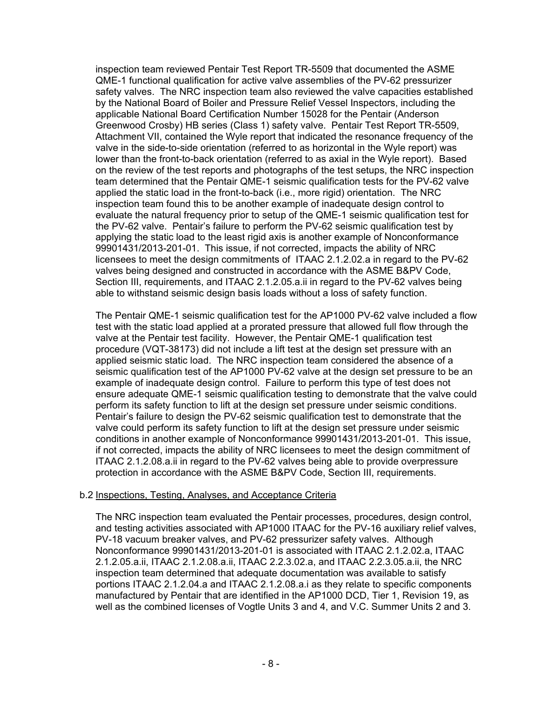inspection team reviewed Pentair Test Report TR-5509 that documented the ASME QME-1 functional qualification for active valve assemblies of the PV-62 pressurizer safety valves. The NRC inspection team also reviewed the valve capacities established by the National Board of Boiler and Pressure Relief Vessel Inspectors, including the applicable National Board Certification Number 15028 for the Pentair (Anderson Greenwood Crosby) HB series (Class 1) safety valve. Pentair Test Report TR-5509, Attachment VII, contained the Wyle report that indicated the resonance frequency of the valve in the side-to-side orientation (referred to as horizontal in the Wyle report) was lower than the front-to-back orientation (referred to as axial in the Wyle report). Based on the review of the test reports and photographs of the test setups, the NRC inspection team determined that the Pentair QME-1 seismic qualification tests for the PV-62 valve applied the static load in the front-to-back (i.e., more rigid) orientation. The NRC inspection team found this to be another example of inadequate design control to evaluate the natural frequency prior to setup of the QME-1 seismic qualification test for the PV-62 valve. Pentair's failure to perform the PV-62 seismic qualification test by applying the static load to the least rigid axis is another example of Nonconformance 99901431/2013-201-01. This issue, if not corrected, impacts the ability of NRC licensees to meet the design commitments of ITAAC 2.1.2.02.a in regard to the PV-62 valves being designed and constructed in accordance with the ASME B&PV Code, Section III, requirements, and ITAAC 2.1.2.05.a.ii in regard to the PV-62 valves being able to withstand seismic design basis loads without a loss of safety function.

The Pentair QME-1 seismic qualification test for the AP1000 PV-62 valve included a flow test with the static load applied at a prorated pressure that allowed full flow through the valve at the Pentair test facility. However, the Pentair QME-1 qualification test procedure (VQT-38173) did not include a lift test at the design set pressure with an applied seismic static load. The NRC inspection team considered the absence of a seismic qualification test of the AP1000 PV-62 valve at the design set pressure to be an example of inadequate design control. Failure to perform this type of test does not ensure adequate QME-1 seismic qualification testing to demonstrate that the valve could perform its safety function to lift at the design set pressure under seismic conditions. Pentair's failure to design the PV-62 seismic qualification test to demonstrate that the valve could perform its safety function to lift at the design set pressure under seismic conditions in another example of Nonconformance 99901431/2013-201-01. This issue, if not corrected, impacts the ability of NRC licensees to meet the design commitment of ITAAC 2.1.2.08.a.ii in regard to the PV-62 valves being able to provide overpressure protection in accordance with the ASME B&PV Code, Section III, requirements.

## b.2 Inspections, Testing, Analyses, and Acceptance Criteria

The NRC inspection team evaluated the Pentair processes, procedures, design control, and testing activities associated with AP1000 ITAAC for the PV-16 auxiliary relief valves, PV-18 vacuum breaker valves, and PV-62 pressurizer safety valves. Although Nonconformance 99901431/2013-201-01 is associated with ITAAC 2.1.2.02.a, ITAAC 2.1.2.05.a.ii, ITAAC 2.1.2.08.a.ii, ITAAC 2.2.3.02.a, and ITAAC 2.2.3.05.a.ii, the NRC inspection team determined that adequate documentation was available to satisfy portions ITAAC 2.1.2.04.a and ITAAC 2.1.2.08.a.i as they relate to specific components manufactured by Pentair that are identified in the AP1000 DCD, Tier 1, Revision 19, as well as the combined licenses of Vogtle Units 3 and 4, and V.C. Summer Units 2 and 3.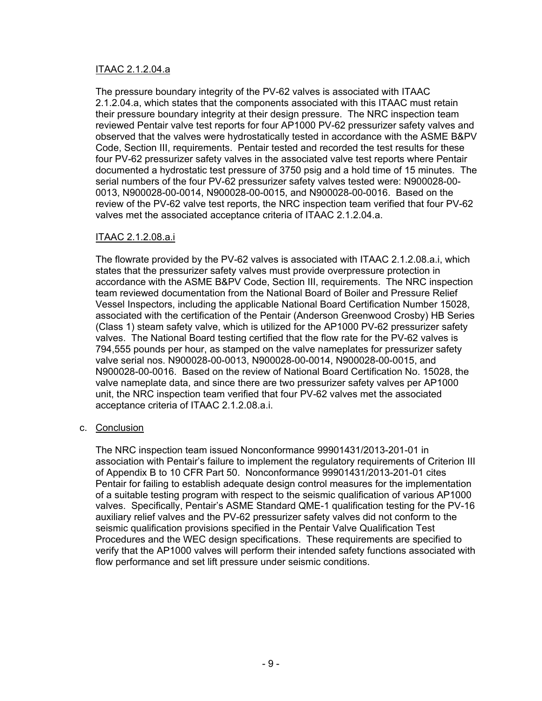## ITAAC 2.1.2.04.a

The pressure boundary integrity of the PV-62 valves is associated with ITAAC 2.1.2.04.a, which states that the components associated with this ITAAC must retain their pressure boundary integrity at their design pressure. The NRC inspection team reviewed Pentair valve test reports for four AP1000 PV-62 pressurizer safety valves and observed that the valves were hydrostatically tested in accordance with the ASME B&PV Code, Section III, requirements. Pentair tested and recorded the test results for these four PV-62 pressurizer safety valves in the associated valve test reports where Pentair documented a hydrostatic test pressure of 3750 psig and a hold time of 15 minutes. The serial numbers of the four PV-62 pressurizer safety valves tested were: N900028-00- 0013, N900028-00-0014, N900028-00-0015, and N900028-00-0016. Based on the review of the PV-62 valve test reports, the NRC inspection team verified that four PV-62 valves met the associated acceptance criteria of ITAAC 2.1.2.04.a.

## ITAAC 2.1.2.08.a.i

The flowrate provided by the PV-62 valves is associated with ITAAC 2.1.2.08.a.i, which states that the pressurizer safety valves must provide overpressure protection in accordance with the ASME B&PV Code, Section III, requirements. The NRC inspection team reviewed documentation from the National Board of Boiler and Pressure Relief Vessel Inspectors, including the applicable National Board Certification Number 15028, associated with the certification of the Pentair (Anderson Greenwood Crosby) HB Series (Class 1) steam safety valve, which is utilized for the AP1000 PV-62 pressurizer safety valves. The National Board testing certified that the flow rate for the PV-62 valves is 794,555 pounds per hour, as stamped on the valve nameplates for pressurizer safety valve serial nos. N900028-00-0013, N900028-00-0014, N900028-00-0015, and N900028-00-0016. Based on the review of National Board Certification No. 15028, the valve nameplate data, and since there are two pressurizer safety valves per AP1000 unit, the NRC inspection team verified that four PV-62 valves met the associated acceptance criteria of ITAAC 2.1.2.08.a.i.

#### c. Conclusion

The NRC inspection team issued Nonconformance 99901431/2013-201-01 in association with Pentair's failure to implement the regulatory requirements of Criterion III of Appendix B to 10 CFR Part 50. Nonconformance 99901431/2013-201-01 cites Pentair for failing to establish adequate design control measures for the implementation of a suitable testing program with respect to the seismic qualification of various AP1000 valves. Specifically, Pentair's ASME Standard QME-1 qualification testing for the PV-16 auxiliary relief valves and the PV-62 pressurizer safety valves did not conform to the seismic qualification provisions specified in the Pentair Valve Qualification Test Procedures and the WEC design specifications. These requirements are specified to verify that the AP1000 valves will perform their intended safety functions associated with flow performance and set lift pressure under seismic conditions.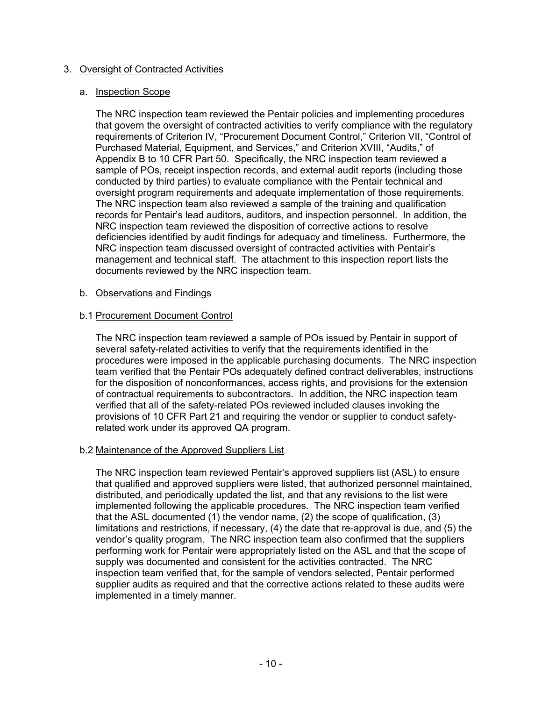## 3. Oversight of Contracted Activities

### a. Inspection Scope

The NRC inspection team reviewed the Pentair policies and implementing procedures that govern the oversight of contracted activities to verify compliance with the regulatory requirements of Criterion IV, "Procurement Document Control," Criterion VII, "Control of Purchased Material, Equipment, and Services," and Criterion XVIII, "Audits," of Appendix B to 10 CFR Part 50. Specifically, the NRC inspection team reviewed a sample of POs, receipt inspection records, and external audit reports (including those conducted by third parties) to evaluate compliance with the Pentair technical and oversight program requirements and adequate implementation of those requirements. The NRC inspection team also reviewed a sample of the training and qualification records for Pentair's lead auditors, auditors, and inspection personnel. In addition, the NRC inspection team reviewed the disposition of corrective actions to resolve deficiencies identified by audit findings for adequacy and timeliness. Furthermore, the NRC inspection team discussed oversight of contracted activities with Pentair's management and technical staff. The attachment to this inspection report lists the documents reviewed by the NRC inspection team.

### b. Observations and Findings

## b.1 Procurement Document Control

The NRC inspection team reviewed a sample of POs issued by Pentair in support of several safety-related activities to verify that the requirements identified in the procedures were imposed in the applicable purchasing documents. The NRC inspection team verified that the Pentair POs adequately defined contract deliverables, instructions for the disposition of nonconformances, access rights, and provisions for the extension of contractual requirements to subcontractors. In addition, the NRC inspection team verified that all of the safety-related POs reviewed included clauses invoking the provisions of 10 CFR Part 21 and requiring the vendor or supplier to conduct safetyrelated work under its approved QA program.

## b.2 Maintenance of the Approved Suppliers List

The NRC inspection team reviewed Pentair's approved suppliers list (ASL) to ensure that qualified and approved suppliers were listed, that authorized personnel maintained, distributed, and periodically updated the list, and that any revisions to the list were implemented following the applicable procedures. The NRC inspection team verified that the ASL documented (1) the vendor name, (2) the scope of qualification, (3) limitations and restrictions, if necessary, (4) the date that re-approval is due, and (5) the vendor's quality program. The NRC inspection team also confirmed that the suppliers performing work for Pentair were appropriately listed on the ASL and that the scope of supply was documented and consistent for the activities contracted. The NRC inspection team verified that, for the sample of vendors selected, Pentair performed supplier audits as required and that the corrective actions related to these audits were implemented in a timely manner.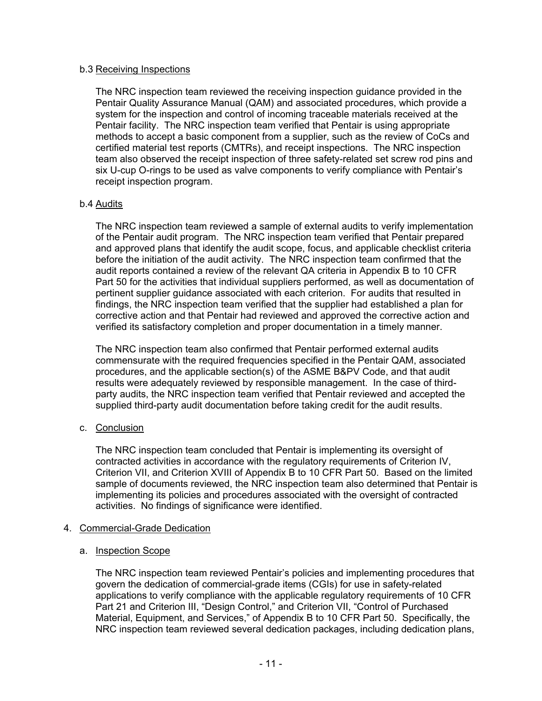### b.3 Receiving Inspections

The NRC inspection team reviewed the receiving inspection guidance provided in the Pentair Quality Assurance Manual (QAM) and associated procedures, which provide a system for the inspection and control of incoming traceable materials received at the Pentair facility. The NRC inspection team verified that Pentair is using appropriate methods to accept a basic component from a supplier, such as the review of CoCs and certified material test reports (CMTRs), and receipt inspections. The NRC inspection team also observed the receipt inspection of three safety-related set screw rod pins and six U-cup O-rings to be used as valve components to verify compliance with Pentair's receipt inspection program.

## b.4 Audits

The NRC inspection team reviewed a sample of external audits to verify implementation of the Pentair audit program. The NRC inspection team verified that Pentair prepared and approved plans that identify the audit scope, focus, and applicable checklist criteria before the initiation of the audit activity. The NRC inspection team confirmed that the audit reports contained a review of the relevant QA criteria in Appendix B to 10 CFR Part 50 for the activities that individual suppliers performed, as well as documentation of pertinent supplier guidance associated with each criterion. For audits that resulted in findings, the NRC inspection team verified that the supplier had established a plan for corrective action and that Pentair had reviewed and approved the corrective action and verified its satisfactory completion and proper documentation in a timely manner.

The NRC inspection team also confirmed that Pentair performed external audits commensurate with the required frequencies specified in the Pentair QAM, associated procedures, and the applicable section(s) of the ASME B&PV Code, and that audit results were adequately reviewed by responsible management. In the case of thirdparty audits, the NRC inspection team verified that Pentair reviewed and accepted the supplied third-party audit documentation before taking credit for the audit results.

c. Conclusion

The NRC inspection team concluded that Pentair is implementing its oversight of contracted activities in accordance with the regulatory requirements of Criterion IV, Criterion VII, and Criterion XVIII of Appendix B to 10 CFR Part 50. Based on the limited sample of documents reviewed, the NRC inspection team also determined that Pentair is implementing its policies and procedures associated with the oversight of contracted activities. No findings of significance were identified.

## 4. Commercial-Grade Dedication

## a. Inspection Scope

The NRC inspection team reviewed Pentair's policies and implementing procedures that govern the dedication of commercial-grade items (CGIs) for use in safety-related applications to verify compliance with the applicable regulatory requirements of 10 CFR Part 21 and Criterion III, "Design Control," and Criterion VII, "Control of Purchased Material, Equipment, and Services," of Appendix B to 10 CFR Part 50. Specifically, the NRC inspection team reviewed several dedication packages, including dedication plans,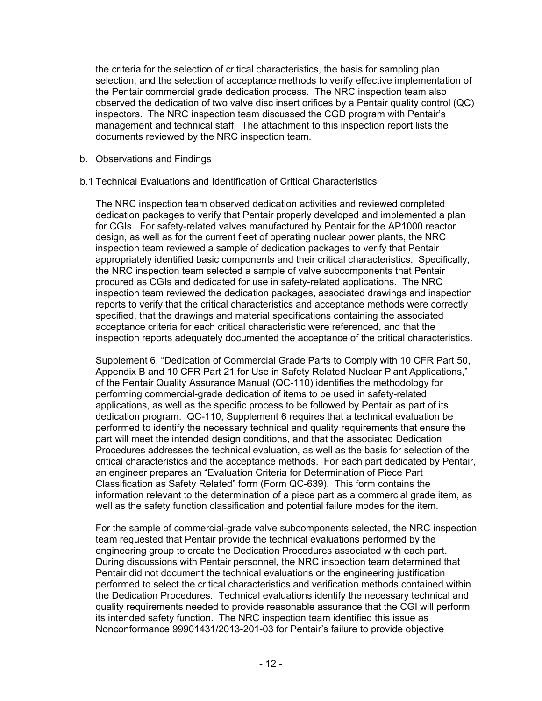the criteria for the selection of critical characteristics, the basis for sampling plan selection, and the selection of acceptance methods to verify effective implementation of the Pentair commercial grade dedication process. The NRC inspection team also observed the dedication of two valve disc insert orifices by a Pentair quality control (QC) inspectors. The NRC inspection team discussed the CGD program with Pentair's management and technical staff. The attachment to this inspection report lists the documents reviewed by the NRC inspection team.

### b. Observations and Findings

## b.1 Technical Evaluations and Identification of Critical Characteristics

The NRC inspection team observed dedication activities and reviewed completed dedication packages to verify that Pentair properly developed and implemented a plan for CGIs. For safety-related valves manufactured by Pentair for the AP1000 reactor design, as well as for the current fleet of operating nuclear power plants, the NRC inspection team reviewed a sample of dedication packages to verify that Pentair appropriately identified basic components and their critical characteristics. Specifically, the NRC inspection team selected a sample of valve subcomponents that Pentair procured as CGIs and dedicated for use in safety-related applications. The NRC inspection team reviewed the dedication packages, associated drawings and inspection reports to verify that the critical characteristics and acceptance methods were correctly specified, that the drawings and material specifications containing the associated acceptance criteria for each critical characteristic were referenced, and that the inspection reports adequately documented the acceptance of the critical characteristics.

Supplement 6, "Dedication of Commercial Grade Parts to Comply with 10 CFR Part 50, Appendix B and 10 CFR Part 21 for Use in Safety Related Nuclear Plant Applications," of the Pentair Quality Assurance Manual (QC-110) identifies the methodology for performing commercial-grade dedication of items to be used in safety-related applications, as well as the specific process to be followed by Pentair as part of its dedication program. QC-110, Supplement 6 requires that a technical evaluation be performed to identify the necessary technical and quality requirements that ensure the part will meet the intended design conditions, and that the associated Dedication Procedures addresses the technical evaluation, as well as the basis for selection of the critical characteristics and the acceptance methods. For each part dedicated by Pentair, an engineer prepares an "Evaluation Criteria for Determination of Piece Part Classification as Safety Related" form (Form QC-639). This form contains the information relevant to the determination of a piece part as a commercial grade item, as well as the safety function classification and potential failure modes for the item.

For the sample of commercial-grade valve subcomponents selected, the NRC inspection team requested that Pentair provide the technical evaluations performed by the engineering group to create the Dedication Procedures associated with each part. During discussions with Pentair personnel, the NRC inspection team determined that Pentair did not document the technical evaluations or the engineering justification performed to select the critical characteristics and verification methods contained within the Dedication Procedures. Technical evaluations identify the necessary technical and quality requirements needed to provide reasonable assurance that the CGI will perform its intended safety function. The NRC inspection team identified this issue as Nonconformance 99901431/2013-201-03 for Pentair's failure to provide objective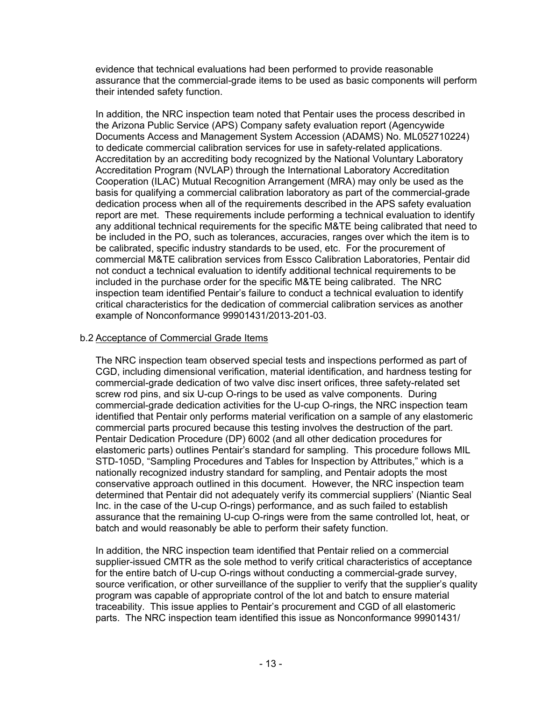evidence that technical evaluations had been performed to provide reasonable assurance that the commercial-grade items to be used as basic components will perform their intended safety function.

In addition, the NRC inspection team noted that Pentair uses the process described in the Arizona Public Service (APS) Company safety evaluation report (Agencywide Documents Access and Management System Accession (ADAMS) No. ML052710224) to dedicate commercial calibration services for use in safety-related applications. Accreditation by an accrediting body recognized by the National Voluntary Laboratory Accreditation Program (NVLAP) through the International Laboratory Accreditation Cooperation (ILAC) Mutual Recognition Arrangement (MRA) may only be used as the basis for qualifying a commercial calibration laboratory as part of the commercial-grade dedication process when all of the requirements described in the APS safety evaluation report are met. These requirements include performing a technical evaluation to identify any additional technical requirements for the specific M&TE being calibrated that need to be included in the PO, such as tolerances, accuracies, ranges over which the item is to be calibrated, specific industry standards to be used, etc. For the procurement of commercial M&TE calibration services from Essco Calibration Laboratories, Pentair did not conduct a technical evaluation to identify additional technical requirements to be included in the purchase order for the specific M&TE being calibrated. The NRC inspection team identified Pentair's failure to conduct a technical evaluation to identify critical characteristics for the dedication of commercial calibration services as another example of Nonconformance 99901431/2013-201-03.

# b.2 Acceptance of Commercial Grade Items

The NRC inspection team observed special tests and inspections performed as part of CGD, including dimensional verification, material identification, and hardness testing for commercial-grade dedication of two valve disc insert orifices, three safety-related set screw rod pins, and six U-cup O-rings to be used as valve components. During commercial-grade dedication activities for the U-cup O-rings, the NRC inspection team identified that Pentair only performs material verification on a sample of any elastomeric commercial parts procured because this testing involves the destruction of the part. Pentair Dedication Procedure (DP) 6002 (and all other dedication procedures for elastomeric parts) outlines Pentair's standard for sampling. This procedure follows MIL STD-105D, "Sampling Procedures and Tables for Inspection by Attributes," which is a nationally recognized industry standard for sampling, and Pentair adopts the most conservative approach outlined in this document. However, the NRC inspection team determined that Pentair did not adequately verify its commercial suppliers' (Niantic Seal Inc. in the case of the U-cup O-rings) performance, and as such failed to establish assurance that the remaining U-cup O-rings were from the same controlled lot, heat, or batch and would reasonably be able to perform their safety function.

In addition, the NRC inspection team identified that Pentair relied on a commercial supplier-issued CMTR as the sole method to verify critical characteristics of acceptance for the entire batch of U-cup O-rings without conducting a commercial-grade survey, source verification, or other surveillance of the supplier to verify that the supplier's quality program was capable of appropriate control of the lot and batch to ensure material traceability. This issue applies to Pentair's procurement and CGD of all elastomeric parts. The NRC inspection team identified this issue as Nonconformance 99901431/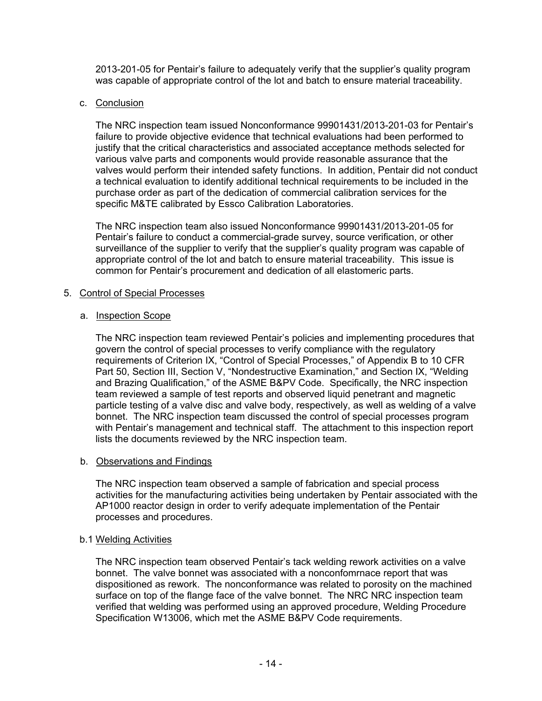2013-201-05 for Pentair's failure to adequately verify that the supplier's quality program was capable of appropriate control of the lot and batch to ensure material traceability.

### c. Conclusion

The NRC inspection team issued Nonconformance 99901431/2013-201-03 for Pentair's failure to provide objective evidence that technical evaluations had been performed to justify that the critical characteristics and associated acceptance methods selected for various valve parts and components would provide reasonable assurance that the valves would perform their intended safety functions. In addition, Pentair did not conduct a technical evaluation to identify additional technical requirements to be included in the purchase order as part of the dedication of commercial calibration services for the specific M&TE calibrated by Essco Calibration Laboratories.

The NRC inspection team also issued Nonconformance 99901431/2013-201-05 for Pentair's failure to conduct a commercial-grade survey, source verification, or other surveillance of the supplier to verify that the supplier's quality program was capable of appropriate control of the lot and batch to ensure material traceability. This issue is common for Pentair's procurement and dedication of all elastomeric parts.

### 5. Control of Special Processes

### a. Inspection Scope

The NRC inspection team reviewed Pentair's policies and implementing procedures that govern the control of special processes to verify compliance with the regulatory requirements of Criterion IX, "Control of Special Processes," of Appendix B to 10 CFR Part 50, Section III, Section V, "Nondestructive Examination," and Section IX, "Welding and Brazing Qualification," of the ASME B&PV Code. Specifically, the NRC inspection team reviewed a sample of test reports and observed liquid penetrant and magnetic particle testing of a valve disc and valve body, respectively, as well as welding of a valve bonnet. The NRC inspection team discussed the control of special processes program with Pentair's management and technical staff. The attachment to this inspection report lists the documents reviewed by the NRC inspection team.

## b. Observations and Findings

The NRC inspection team observed a sample of fabrication and special process activities for the manufacturing activities being undertaken by Pentair associated with the AP1000 reactor design in order to verify adequate implementation of the Pentair processes and procedures.

## b.1 Welding Activities

The NRC inspection team observed Pentair's tack welding rework activities on a valve bonnet. The valve bonnet was associated with a nonconfomrnace report that was dispositioned as rework. The nonconformance was related to porosity on the machined surface on top of the flange face of the valve bonnet. The NRC NRC inspection team verified that welding was performed using an approved procedure, Welding Procedure Specification W13006, which met the ASME B&PV Code requirements.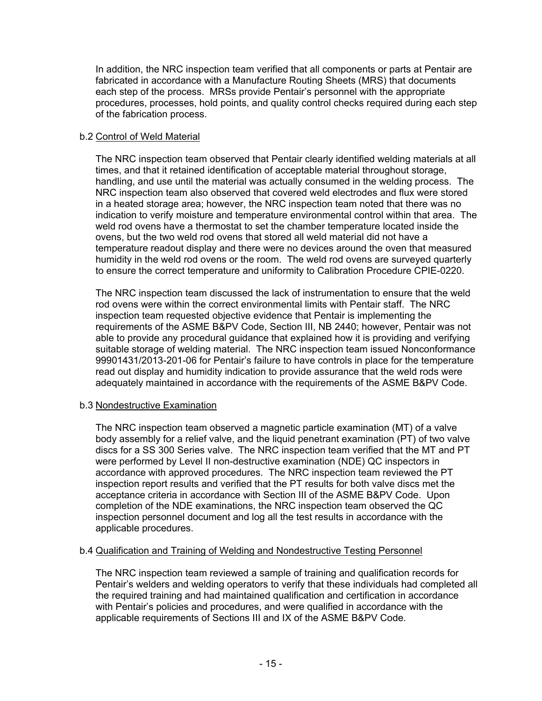In addition, the NRC inspection team verified that all components or parts at Pentair are fabricated in accordance with a Manufacture Routing Sheets (MRS) that documents each step of the process. MRSs provide Pentair's personnel with the appropriate procedures, processes, hold points, and quality control checks required during each step of the fabrication process.

## b.2 Control of Weld Material

The NRC inspection team observed that Pentair clearly identified welding materials at all times, and that it retained identification of acceptable material throughout storage, handling, and use until the material was actually consumed in the welding process. The NRC inspection team also observed that covered weld electrodes and flux were stored in a heated storage area; however, the NRC inspection team noted that there was no indication to verify moisture and temperature environmental control within that area. The weld rod ovens have a thermostat to set the chamber temperature located inside the ovens, but the two weld rod ovens that stored all weld material did not have a temperature readout display and there were no devices around the oven that measured humidity in the weld rod ovens or the room. The weld rod ovens are surveyed quarterly to ensure the correct temperature and uniformity to Calibration Procedure CPIE-0220.

The NRC inspection team discussed the lack of instrumentation to ensure that the weld rod ovens were within the correct environmental limits with Pentair staff. The NRC inspection team requested objective evidence that Pentair is implementing the requirements of the ASME B&PV Code, Section III, NB 2440; however, Pentair was not able to provide any procedural guidance that explained how it is providing and verifying suitable storage of welding material. The NRC inspection team issued Nonconformance 99901431/2013-201-06 for Pentair's failure to have controls in place for the temperature read out display and humidity indication to provide assurance that the weld rods were adequately maintained in accordance with the requirements of the ASME B&PV Code.

## b.3 Nondestructive Examination

The NRC inspection team observed a magnetic particle examination (MT) of a valve body assembly for a relief valve, and the liquid penetrant examination (PT) of two valve discs for a SS 300 Series valve. The NRC inspection team verified that the MT and PT were performed by Level II non-destructive examination (NDE) QC inspectors in accordance with approved procedures. The NRC inspection team reviewed the PT inspection report results and verified that the PT results for both valve discs met the acceptance criteria in accordance with Section III of the ASME B&PV Code. Upon completion of the NDE examinations, the NRC inspection team observed the QC inspection personnel document and log all the test results in accordance with the applicable procedures.

# b.4 Qualification and Training of Welding and Nondestructive Testing Personnel

The NRC inspection team reviewed a sample of training and qualification records for Pentair's welders and welding operators to verify that these individuals had completed all the required training and had maintained qualification and certification in accordance with Pentair's policies and procedures, and were qualified in accordance with the applicable requirements of Sections III and IX of the ASME B&PV Code.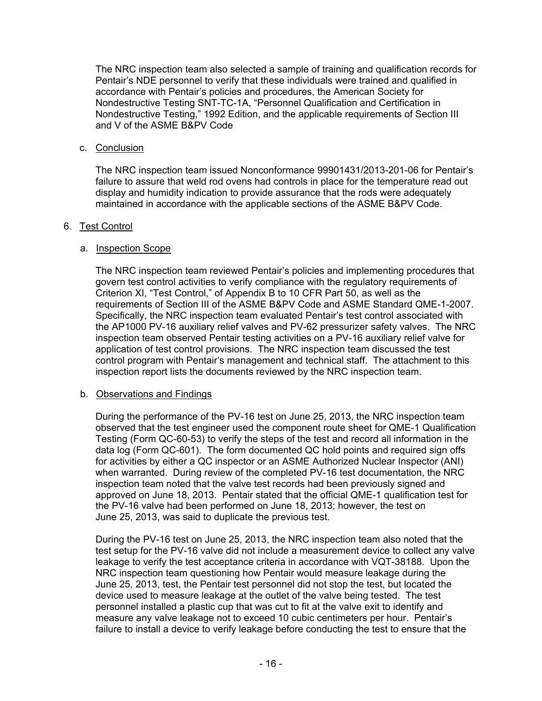The NRC inspection team also selected a sample of training and qualification records for Pentair's NDE personnel to verify that these individuals were trained and qualified in accordance with Pentair's policies and procedures, the American Society for Nondestructive Testing SNT-TC-1A, "Personnel Qualification and Certification in Nondestructive Testing," 1992 Edition, and the applicable requirements of Section III and V of the ASME B&PV Code

## c. Conclusion

The NRC inspection team issued Nonconformance 99901431/2013-201-06 for Pentair's failure to assure that weld rod ovens had controls in place for the temperature read out display and humidity indication to provide assurance that the rods were adequately maintained in accordance with the applicable sections of the ASME B&PV Code.

# 6. Test Control

# a. Inspection Scope

The NRC inspection team reviewed Pentair's policies and implementing procedures that govern test control activities to verify compliance with the regulatory requirements of Criterion XI, "Test Control," of Appendix B to 10 CFR Part 50, as well as the requirements of Section III of the ASME B&PV Code and ASME Standard QME-1-2007. Specifically, the NRC inspection team evaluated Pentair's test control associated with the AP1000 PV-16 auxiliary relief valves and PV-62 pressurizer safety valves. The NRC inspection team observed Pentair testing activities on a PV-16 auxiliary relief valve for application of test control provisions. The NRC inspection team discussed the test control program with Pentair's management and technical staff. The attachment to this inspection report lists the documents reviewed by the NRC inspection team.

## b. Observations and Findings

During the performance of the PV-16 test on June 25, 2013, the NRC inspection team observed that the test engineer used the component route sheet for QME-1 Qualification Testing (Form QC-60-53) to verify the steps of the test and record all information in the data log (Form QC-601). The form documented QC hold points and required sign offs for activities by either a QC inspector or an ASME Authorized Nuclear Inspector (ANI) when warranted. During review of the completed PV-16 test documentation, the NRC inspection team noted that the valve test records had been previously signed and approved on June 18, 2013. Pentair stated that the official QME-1 qualification test for the PV-16 valve had been performed on June 18, 2013; however, the test on June 25, 2013, was said to duplicate the previous test.

During the PV-16 test on June 25, 2013, the NRC inspection team also noted that the test setup for the PV-16 valve did not include a measurement device to collect any valve leakage to verify the test acceptance criteria in accordance with VQT-38188. Upon the NRC inspection team questioning how Pentair would measure leakage during the June 25, 2013, test, the Pentair test personnel did not stop the test, but located the device used to measure leakage at the outlet of the valve being tested. The test personnel installed a plastic cup that was cut to fit at the valve exit to identify and measure any valve leakage not to exceed 10 cubic centimeters per hour. Pentair's failure to install a device to verify leakage before conducting the test to ensure that the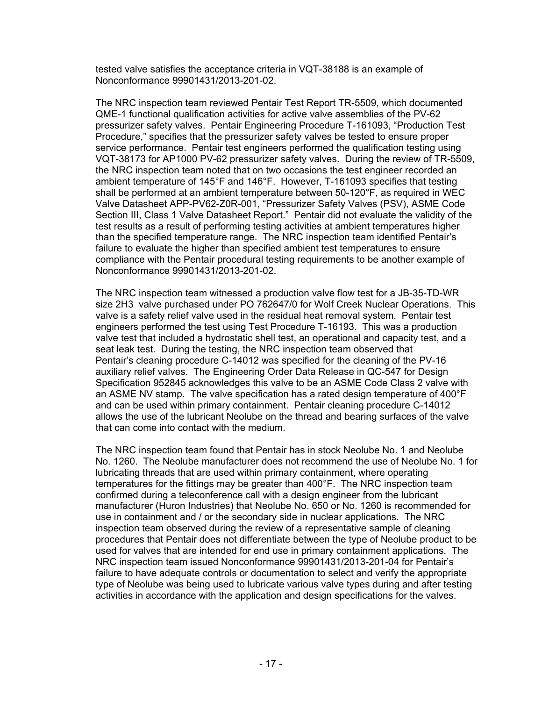tested valve satisfies the acceptance criteria in VQT-38188 is an example of Nonconformance 99901431/2013-201-02.

The NRC inspection team reviewed Pentair Test Report TR-5509, which documented QME-1 functional qualification activities for active valve assemblies of the PV-62 pressurizer safety valves. Pentair Engineering Procedure T-161093, "Production Test Procedure," specifies that the pressurizer safety valves be tested to ensure proper service performance. Pentair test engineers performed the qualification testing using VQT-38173 for AP1000 PV-62 pressurizer safety valves. During the review of TR-5509, the NRC inspection team noted that on two occasions the test engineer recorded an ambient temperature of 145°F and 146°F. However, T-161093 specifies that testing shall be performed at an ambient temperature between 50-120°F, as required in WEC Valve Datasheet APP-PV62-Z0R-001, "Pressurizer Safety Valves (PSV), ASME Code Section III, Class 1 Valve Datasheet Report." Pentair did not evaluate the validity of the test results as a result of performing testing activities at ambient temperatures higher than the specified temperature range. The NRC inspection team identified Pentair's failure to evaluate the higher than specified ambient test temperatures to ensure compliance with the Pentair procedural testing requirements to be another example of Nonconformance 99901431/2013-201-02.

The NRC inspection team witnessed a production valve flow test for a JB-35-TD-WR size 2H3 valve purchased under PO 762647/0 for Wolf Creek Nuclear Operations. This valve is a safety relief valve used in the residual heat removal system. Pentair test engineers performed the test using Test Procedure T-16193. This was a production valve test that included a hydrostatic shell test, an operational and capacity test, and a seat leak test. During the testing, the NRC inspection team observed that Pentair's cleaning procedure C-14012 was specified for the cleaning of the PV-16 auxiliary relief valves. The Engineering Order Data Release in QC-547 for Design Specification 952845 acknowledges this valve to be an ASME Code Class 2 valve with an ASME NV stamp. The valve specification has a rated design temperature of 400°F and can be used within primary containment. Pentair cleaning procedure C-14012 allows the use of the lubricant Neolube on the thread and bearing surfaces of the valve that can come into contact with the medium.

The NRC inspection team found that Pentair has in stock Neolube No. 1 and Neolube No. 1260. The Neolube manufacturer does not recommend the use of Neolube No. 1 for lubricating threads that are used within primary containment, where operating temperatures for the fittings may be greater than 400°F. The NRC inspection team confirmed during a teleconference call with a design engineer from the lubricant manufacturer (Huron Industries) that Neolube No. 650 or No. 1260 is recommended for use in containment and / or the secondary side in nuclear applications. The NRC inspection team observed during the review of a representative sample of cleaning procedures that Pentair does not differentiate between the type of Neolube product to be used for valves that are intended for end use in primary containment applications. The NRC inspection team issued Nonconformance 99901431/2013-201-04 for Pentair's failure to have adequate controls or documentation to select and verify the appropriate type of Neolube was being used to lubricate various valve types during and after testing activities in accordance with the application and design specifications for the valves.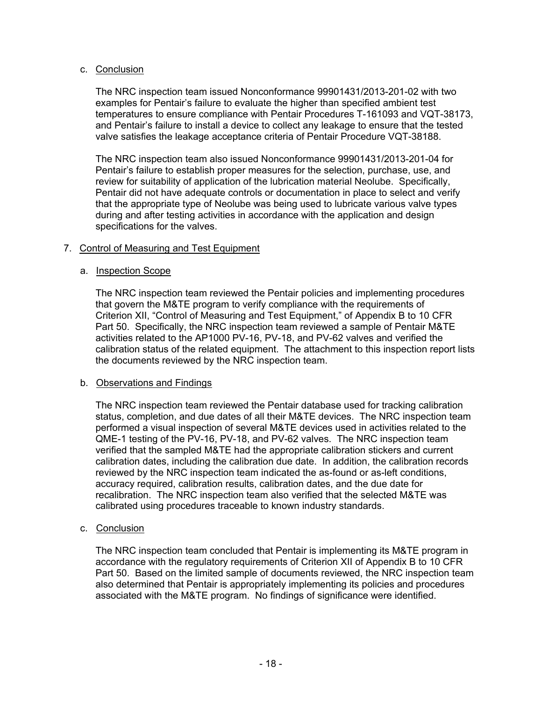## c. Conclusion

The NRC inspection team issued Nonconformance 99901431/2013-201-02 with two examples for Pentair's failure to evaluate the higher than specified ambient test temperatures to ensure compliance with Pentair Procedures T-161093 and VQT-38173, and Pentair's failure to install a device to collect any leakage to ensure that the tested valve satisfies the leakage acceptance criteria of Pentair Procedure VQT-38188.

The NRC inspection team also issued Nonconformance 99901431/2013-201-04 for Pentair's failure to establish proper measures for the selection, purchase, use, and review for suitability of application of the lubrication material Neolube. Specifically, Pentair did not have adequate controls or documentation in place to select and verify that the appropriate type of Neolube was being used to lubricate various valve types during and after testing activities in accordance with the application and design specifications for the valves.

### 7. Control of Measuring and Test Equipment

### a. Inspection Scope

The NRC inspection team reviewed the Pentair policies and implementing procedures that govern the M&TE program to verify compliance with the requirements of Criterion XII, "Control of Measuring and Test Equipment," of Appendix B to 10 CFR Part 50. Specifically, the NRC inspection team reviewed a sample of Pentair M&TE activities related to the AP1000 PV-16, PV-18, and PV-62 valves and verified the calibration status of the related equipment. The attachment to this inspection report lists the documents reviewed by the NRC inspection team.

## b. Observations and Findings

The NRC inspection team reviewed the Pentair database used for tracking calibration status, completion, and due dates of all their M&TE devices. The NRC inspection team performed a visual inspection of several M&TE devices used in activities related to the QME-1 testing of the PV-16, PV-18, and PV-62 valves. The NRC inspection team verified that the sampled M&TE had the appropriate calibration stickers and current calibration dates, including the calibration due date. In addition, the calibration records reviewed by the NRC inspection team indicated the as-found or as-left conditions, accuracy required, calibration results, calibration dates, and the due date for recalibration. The NRC inspection team also verified that the selected M&TE was calibrated using procedures traceable to known industry standards.

c. Conclusion

The NRC inspection team concluded that Pentair is implementing its M&TE program in accordance with the regulatory requirements of Criterion XII of Appendix B to 10 CFR Part 50. Based on the limited sample of documents reviewed, the NRC inspection team also determined that Pentair is appropriately implementing its policies and procedures associated with the M&TE program. No findings of significance were identified.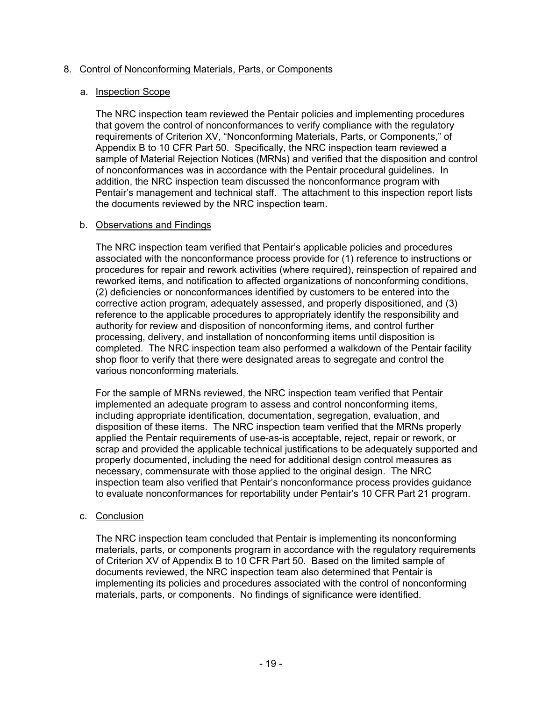## 8. Control of Nonconforming Materials, Parts, or Components

#### a. Inspection Scope

The NRC inspection team reviewed the Pentair policies and implementing procedures that govern the control of nonconformances to verify compliance with the regulatory requirements of Criterion XV, "Nonconforming Materials, Parts, or Components," of Appendix B to 10 CFR Part 50. Specifically, the NRC inspection team reviewed a sample of Material Rejection Notices (MRNs) and verified that the disposition and control of nonconformances was in accordance with the Pentair procedural guidelines. In addition, the NRC inspection team discussed the nonconformance program with Pentair's management and technical staff. The attachment to this inspection report lists the documents reviewed by the NRC inspection team.

### b. Observations and Findings

The NRC inspection team verified that Pentair's applicable policies and procedures associated with the nonconformance process provide for (1) reference to instructions or procedures for repair and rework activities (where required), reinspection of repaired and reworked items, and notification to affected organizations of nonconforming conditions, (2) deficiencies or nonconformances identified by customers to be entered into the corrective action program, adequately assessed, and properly dispositioned, and (3) reference to the applicable procedures to appropriately identify the responsibility and authority for review and disposition of nonconforming items, and control further processing, delivery, and installation of nonconforming items until disposition is completed. The NRC inspection team also performed a walkdown of the Pentair facility shop floor to verify that there were designated areas to segregate and control the various nonconforming materials.

For the sample of MRNs reviewed, the NRC inspection team verified that Pentair implemented an adequate program to assess and control nonconforming items, including appropriate identification, documentation, segregation, evaluation, and disposition of these items. The NRC inspection team verified that the MRNs properly applied the Pentair requirements of use-as-is acceptable, reject, repair or rework, or scrap and provided the applicable technical justifications to be adequately supported and properly documented, including the need for additional design control measures as necessary, commensurate with those applied to the original design. The NRC inspection team also verified that Pentair's nonconformance process provides guidance to evaluate nonconformances for reportability under Pentair's 10 CFR Part 21 program.

#### c. Conclusion

The NRC inspection team concluded that Pentair is implementing its nonconforming materials, parts, or components program in accordance with the regulatory requirements of Criterion XV of Appendix B to 10 CFR Part 50. Based on the limited sample of documents reviewed, the NRC inspection team also determined that Pentair is implementing its policies and procedures associated with the control of nonconforming materials, parts, or components. No findings of significance were identified.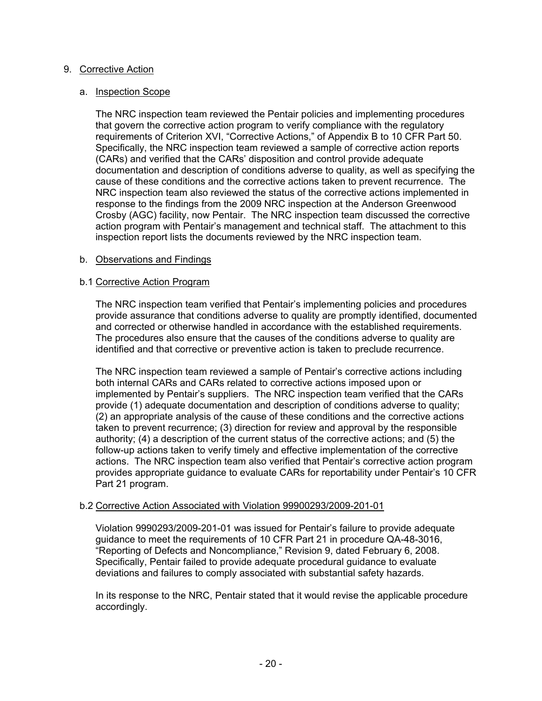### 9. Corrective Action

### a. Inspection Scope

The NRC inspection team reviewed the Pentair policies and implementing procedures that govern the corrective action program to verify compliance with the regulatory requirements of Criterion XVI, "Corrective Actions," of Appendix B to 10 CFR Part 50. Specifically, the NRC inspection team reviewed a sample of corrective action reports (CARs) and verified that the CARs' disposition and control provide adequate documentation and description of conditions adverse to quality, as well as specifying the cause of these conditions and the corrective actions taken to prevent recurrence. The NRC inspection team also reviewed the status of the corrective actions implemented in response to the findings from the 2009 NRC inspection at the Anderson Greenwood Crosby (AGC) facility, now Pentair. The NRC inspection team discussed the corrective action program with Pentair's management and technical staff. The attachment to this inspection report lists the documents reviewed by the NRC inspection team.

### b. Observations and Findings

### b.1 Corrective Action Program

The NRC inspection team verified that Pentair's implementing policies and procedures provide assurance that conditions adverse to quality are promptly identified, documented and corrected or otherwise handled in accordance with the established requirements. The procedures also ensure that the causes of the conditions adverse to quality are identified and that corrective or preventive action is taken to preclude recurrence.

The NRC inspection team reviewed a sample of Pentair's corrective actions including both internal CARs and CARs related to corrective actions imposed upon or implemented by Pentair's suppliers. The NRC inspection team verified that the CARs provide (1) adequate documentation and description of conditions adverse to quality; (2) an appropriate analysis of the cause of these conditions and the corrective actions taken to prevent recurrence; (3) direction for review and approval by the responsible authority; (4) a description of the current status of the corrective actions; and (5) the follow-up actions taken to verify timely and effective implementation of the corrective actions. The NRC inspection team also verified that Pentair's corrective action program provides appropriate guidance to evaluate CARs for reportability under Pentair's 10 CFR Part 21 program.

#### b.2 Corrective Action Associated with Violation 99900293/2009-201-01

Violation 9990293/2009-201-01 was issued for Pentair's failure to provide adequate guidance to meet the requirements of 10 CFR Part 21 in procedure QA-48-3016, "Reporting of Defects and Noncompliance," Revision 9, dated February 6, 2008. Specifically, Pentair failed to provide adequate procedural guidance to evaluate deviations and failures to comply associated with substantial safety hazards.

In its response to the NRC, Pentair stated that it would revise the applicable procedure accordingly.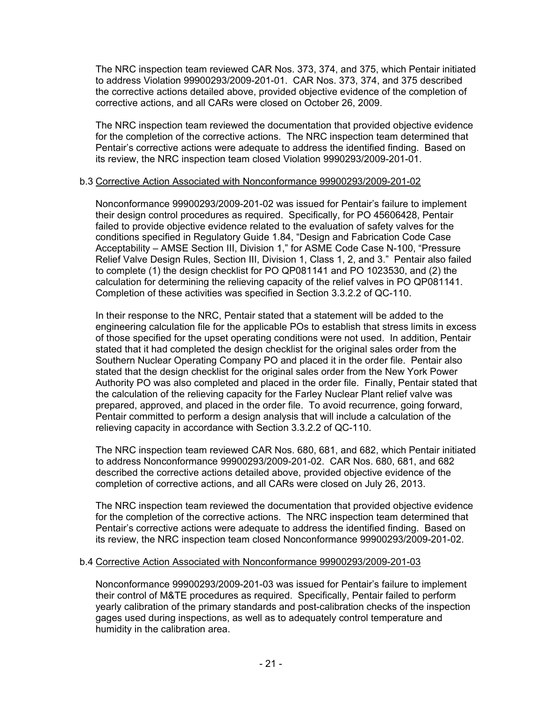The NRC inspection team reviewed CAR Nos. 373, 374, and 375, which Pentair initiated to address Violation 99900293/2009-201-01. CAR Nos. 373, 374, and 375 described the corrective actions detailed above, provided objective evidence of the completion of corrective actions, and all CARs were closed on October 26, 2009.

The NRC inspection team reviewed the documentation that provided objective evidence for the completion of the corrective actions. The NRC inspection team determined that Pentair's corrective actions were adequate to address the identified finding. Based on its review, the NRC inspection team closed Violation 9990293/2009-201-01.

### b.3 Corrective Action Associated with Nonconformance 99900293/2009-201-02

Nonconformance 99900293/2009-201-02 was issued for Pentair's failure to implement their design control procedures as required. Specifically, for PO 45606428, Pentair failed to provide objective evidence related to the evaluation of safety valves for the conditions specified in Regulatory Guide 1.84, "Design and Fabrication Code Case Acceptability – AMSE Section III, Division 1," for ASME Code Case N-100, "Pressure Relief Valve Design Rules, Section III, Division 1, Class 1, 2, and 3." Pentair also failed to complete (1) the design checklist for PO QP081141 and PO 1023530, and (2) the calculation for determining the relieving capacity of the relief valves in PO QP081141. Completion of these activities was specified in Section 3.3.2.2 of QC-110.

In their response to the NRC, Pentair stated that a statement will be added to the engineering calculation file for the applicable POs to establish that stress limits in excess of those specified for the upset operating conditions were not used. In addition, Pentair stated that it had completed the design checklist for the original sales order from the Southern Nuclear Operating Company PO and placed it in the order file. Pentair also stated that the design checklist for the original sales order from the New York Power Authority PO was also completed and placed in the order file. Finally, Pentair stated that the calculation of the relieving capacity for the Farley Nuclear Plant relief valve was prepared, approved, and placed in the order file. To avoid recurrence, going forward, Pentair committed to perform a design analysis that will include a calculation of the relieving capacity in accordance with Section 3.3.2.2 of QC-110.

The NRC inspection team reviewed CAR Nos. 680, 681, and 682, which Pentair initiated to address Nonconformance 99900293/2009-201-02. CAR Nos. 680, 681, and 682 described the corrective actions detailed above, provided objective evidence of the completion of corrective actions, and all CARs were closed on July 26, 2013.

The NRC inspection team reviewed the documentation that provided objective evidence for the completion of the corrective actions. The NRC inspection team determined that Pentair's corrective actions were adequate to address the identified finding. Based on its review, the NRC inspection team closed Nonconformance 99900293/2009-201-02.

## b.4 Corrective Action Associated with Nonconformance 99900293/2009-201-03

Nonconformance 99900293/2009-201-03 was issued for Pentair's failure to implement their control of M&TE procedures as required. Specifically, Pentair failed to perform yearly calibration of the primary standards and post-calibration checks of the inspection gages used during inspections, as well as to adequately control temperature and humidity in the calibration area.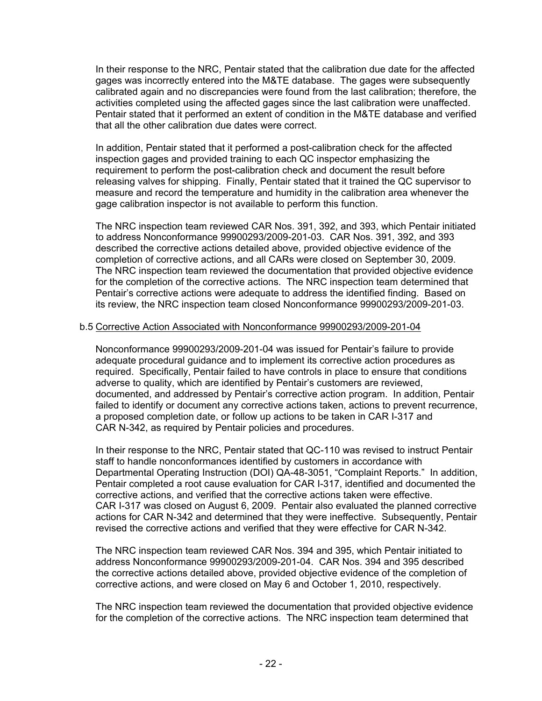In their response to the NRC, Pentair stated that the calibration due date for the affected gages was incorrectly entered into the M&TE database. The gages were subsequently calibrated again and no discrepancies were found from the last calibration; therefore, the activities completed using the affected gages since the last calibration were unaffected. Pentair stated that it performed an extent of condition in the M&TE database and verified that all the other calibration due dates were correct.

In addition, Pentair stated that it performed a post-calibration check for the affected inspection gages and provided training to each QC inspector emphasizing the requirement to perform the post-calibration check and document the result before releasing valves for shipping. Finally, Pentair stated that it trained the QC supervisor to measure and record the temperature and humidity in the calibration area whenever the gage calibration inspector is not available to perform this function.

The NRC inspection team reviewed CAR Nos. 391, 392, and 393, which Pentair initiated to address Nonconformance 99900293/2009-201-03. CAR Nos. 391, 392, and 393 described the corrective actions detailed above, provided objective evidence of the completion of corrective actions, and all CARs were closed on September 30, 2009. The NRC inspection team reviewed the documentation that provided objective evidence for the completion of the corrective actions. The NRC inspection team determined that Pentair's corrective actions were adequate to address the identified finding. Based on its review, the NRC inspection team closed Nonconformance 99900293/2009-201-03.

### b.5 Corrective Action Associated with Nonconformance 99900293/2009-201-04

Nonconformance 99900293/2009-201-04 was issued for Pentair's failure to provide adequate procedural guidance and to implement its corrective action procedures as required. Specifically, Pentair failed to have controls in place to ensure that conditions adverse to quality, which are identified by Pentair's customers are reviewed, documented, and addressed by Pentair's corrective action program. In addition, Pentair failed to identify or document any corrective actions taken, actions to prevent recurrence, a proposed completion date, or follow up actions to be taken in CAR I-317 and CAR N-342, as required by Pentair policies and procedures.

In their response to the NRC, Pentair stated that QC-110 was revised to instruct Pentair staff to handle nonconformances identified by customers in accordance with Departmental Operating Instruction (DOI) QA-48-3051, "Complaint Reports." In addition, Pentair completed a root cause evaluation for CAR I-317, identified and documented the corrective actions, and verified that the corrective actions taken were effective. CAR I-317 was closed on August 6, 2009. Pentair also evaluated the planned corrective actions for CAR N-342 and determined that they were ineffective. Subsequently, Pentair revised the corrective actions and verified that they were effective for CAR N-342.

The NRC inspection team reviewed CAR Nos. 394 and 395, which Pentair initiated to address Nonconformance 99900293/2009-201-04. CAR Nos. 394 and 395 described the corrective actions detailed above, provided objective evidence of the completion of corrective actions, and were closed on May 6 and October 1, 2010, respectively.

The NRC inspection team reviewed the documentation that provided objective evidence for the completion of the corrective actions. The NRC inspection team determined that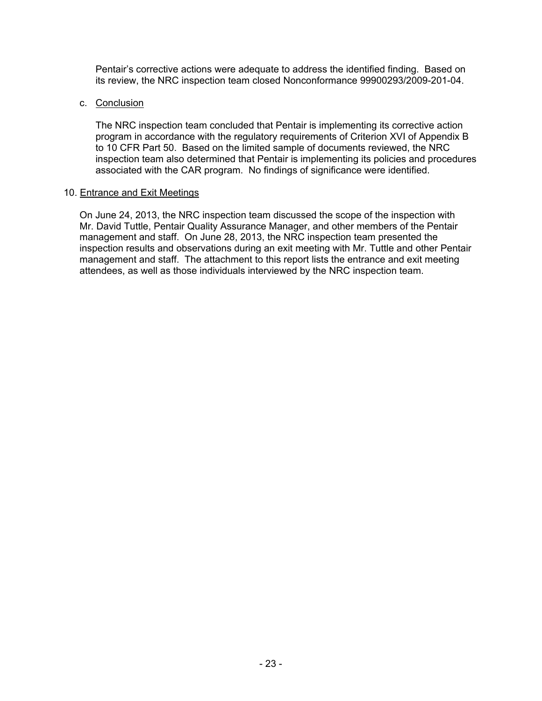Pentair's corrective actions were adequate to address the identified finding. Based on its review, the NRC inspection team closed Nonconformance 99900293/2009-201-04.

### c. Conclusion

The NRC inspection team concluded that Pentair is implementing its corrective action program in accordance with the regulatory requirements of Criterion XVI of Appendix B to 10 CFR Part 50. Based on the limited sample of documents reviewed, the NRC inspection team also determined that Pentair is implementing its policies and procedures associated with the CAR program. No findings of significance were identified.

### 10. Entrance and Exit Meetings

On June 24, 2013, the NRC inspection team discussed the scope of the inspection with Mr. David Tuttle, Pentair Quality Assurance Manager, and other members of the Pentair management and staff. On June 28, 2013, the NRC inspection team presented the inspection results and observations during an exit meeting with Mr. Tuttle and other Pentair management and staff. The attachment to this report lists the entrance and exit meeting attendees, as well as those individuals interviewed by the NRC inspection team.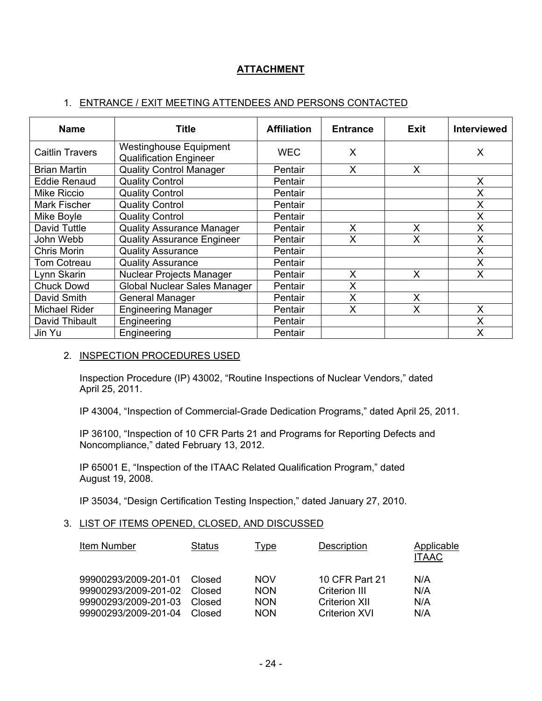# **ATTACHMENT**

## 1. ENTRANCE / EXIT MEETING ATTENDEES AND PERSONS CONTACTED

| <b>Name</b>            | <b>Title</b>                                                   | <b>Affiliation</b> | <b>Entrance</b> | Exit | <b>Interviewed</b> |
|------------------------|----------------------------------------------------------------|--------------------|-----------------|------|--------------------|
| <b>Caitlin Travers</b> | <b>Westinghouse Equipment</b><br><b>Qualification Engineer</b> | <b>WEC</b>         | X               |      | X                  |
| <b>Brian Martin</b>    | <b>Quality Control Manager</b>                                 | Pentair            | X               | X    |                    |
| <b>Eddie Renaud</b>    | <b>Quality Control</b>                                         | Pentair            |                 |      | X                  |
| <b>Mike Riccio</b>     | <b>Quality Control</b>                                         | Pentair            |                 |      | X                  |
| <b>Mark Fischer</b>    | <b>Quality Control</b>                                         | Pentair            |                 |      | X                  |
| Mike Boyle             | <b>Quality Control</b>                                         | Pentair            |                 |      | X                  |
| David Tuttle           | <b>Quality Assurance Manager</b>                               | Pentair            | X               | X    | X                  |
| John Webb              | <b>Quality Assurance Engineer</b>                              | Pentair            | X               | Χ    | X                  |
| Chris Morin            | <b>Quality Assurance</b>                                       | Pentair            |                 |      | X                  |
| <b>Tom Cotreau</b>     | <b>Quality Assurance</b>                                       | Pentair            |                 |      | X                  |
| Lynn Skarin            | <b>Nuclear Projects Manager</b>                                | Pentair            | X               | X    | X                  |
| <b>Chuck Dowd</b>      | Global Nuclear Sales Manager                                   | Pentair            | X               |      |                    |
| David Smith            | <b>General Manager</b>                                         | Pentair            | X               | X    |                    |
| Michael Rider          | <b>Engineering Manager</b>                                     | Pentair            | X               | X    | X                  |
| David Thibault         | Engineering                                                    | Pentair            |                 |      | X                  |
| Jin Yu                 | Engineering                                                    | Pentair            |                 |      | Χ                  |

#### 2. INSPECTION PROCEDURES USED

Inspection Procedure (IP) 43002, "Routine Inspections of Nuclear Vendors," dated April 25, 2011.

IP 43004, "Inspection of Commercial-Grade Dedication Programs," dated April 25, 2011.

IP 36100, "Inspection of 10 CFR Parts 21 and Programs for Reporting Defects and Noncompliance," dated February 13, 2012.

IP 65001 E, "Inspection of the ITAAC Related Qualification Program," dated August 19, 2008.

IP 35034, "Design Certification Testing Inspection," dated January 27, 2010.

# 3. LIST OF ITEMS OPENED, CLOSED, AND DISCUSSED

| Item Number          | Status | <u>Type</u> | Description          | Applicable<br><b>ITAAC</b> |
|----------------------|--------|-------------|----------------------|----------------------------|
| 99900293/2009-201-01 | Closed | NOV         | 10 CFR Part 21       | N/A                        |
| 99900293/2009-201-02 | Closed | <b>NON</b>  | Criterion III        | N/A                        |
| 99900293/2009-201-03 | Closed | <b>NON</b>  | <b>Criterion XII</b> | N/A                        |
| 99900293/2009-201-04 | Closed | <b>NON</b>  | <b>Criterion XVI</b> | N/A                        |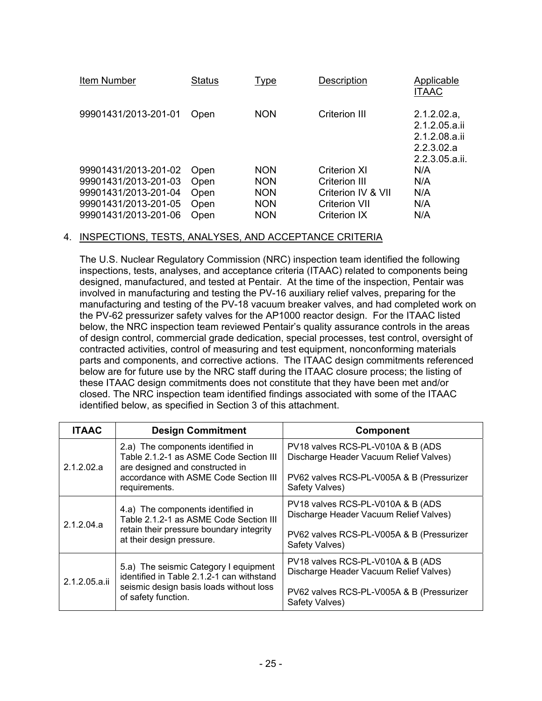| Item Number<br><b>Status</b><br>Description<br>Type                     | Applicable<br><b>ITAAC</b>                                                    |
|-------------------------------------------------------------------------|-------------------------------------------------------------------------------|
| <b>NON</b><br>99901431/2013-201-01<br>Criterion III<br>Open             | 2.1.2.02.a,<br>2.1.2.05.a.ii<br>2.1.2.08.a.ii<br>2.2.3.02.a<br>2.2.3.05.a.ii. |
| <b>NON</b><br>Criterion XI<br>N/A<br>99901431/2013-201-02<br>Open       |                                                                               |
| 99901431/2013-201-03<br><b>NON</b><br>N/A<br>Criterion III<br>Open      |                                                                               |
| 99901431/2013-201-04<br><b>NON</b><br>N/A<br>Criterion IV & VII<br>Open |                                                                               |
| <b>NON</b><br>N/A<br>99901431/2013-201-05<br>Criterion VII<br>Open      |                                                                               |
| 99901431/2013-201-06<br><b>NON</b><br>N/A<br>Criterion IX<br>Open       |                                                                               |

# 4. INSPECTIONS, TESTS, ANALYSES, AND ACCEPTANCE CRITERIA

The U.S. Nuclear Regulatory Commission (NRC) inspection team identified the following inspections, tests, analyses, and acceptance criteria (ITAAC) related to components being designed, manufactured, and tested at Pentair. At the time of the inspection, Pentair was involved in manufacturing and testing the PV-16 auxiliary relief valves, preparing for the manufacturing and testing of the PV-18 vacuum breaker valves, and had completed work on the PV-62 pressurizer safety valves for the AP1000 reactor design. For the ITAAC listed below, the NRC inspection team reviewed Pentair's quality assurance controls in the areas of design control, commercial grade dedication, special processes, test control, oversight of contracted activities, control of measuring and test equipment, nonconforming materials parts and components, and corrective actions. The ITAAC design commitments referenced below are for future use by the NRC staff during the ITAAC closure process; the listing of these ITAAC design commitments does not constitute that they have been met and/or closed. The NRC inspection team identified findings associated with some of the ITAAC identified below, as specified in Section 3 of this attachment.

| <b>ITAAC</b>  | <b>Design Commitment</b>                                                                                                                                                 | <b>Component</b>                                                                                                                           |
|---------------|--------------------------------------------------------------------------------------------------------------------------------------------------------------------------|--------------------------------------------------------------------------------------------------------------------------------------------|
| 2.1.2.02.a    | 2.a) The components identified in<br>Table 2.1.2-1 as ASME Code Section III<br>are designed and constructed in<br>accordance with ASME Code Section III<br>requirements. | PV18 valves RCS-PL-V010A & B (ADS<br>Discharge Header Vacuum Relief Valves)<br>PV62 valves RCS-PL-V005A & B (Pressurizer<br>Safety Valves) |
| 2.1.2.04.a    | 4.a) The components identified in<br>Table 2.1.2-1 as ASME Code Section III<br>retain their pressure boundary integrity<br>at their design pressure.                     | PV18 valves RCS-PL-V010A & B (ADS<br>Discharge Header Vacuum Relief Valves)<br>PV62 valves RCS-PL-V005A & B (Pressurizer<br>Safety Valves) |
| 2.1.2.05.a.ii | 5.a) The seismic Category I equipment<br>identified in Table 2.1.2-1 can withstand<br>seismic design basis loads without loss<br>of safety function.                     | PV18 valves RCS-PL-V010A & B (ADS<br>Discharge Header Vacuum Relief Valves)<br>PV62 valves RCS-PL-V005A & B (Pressurizer<br>Safety Valves) |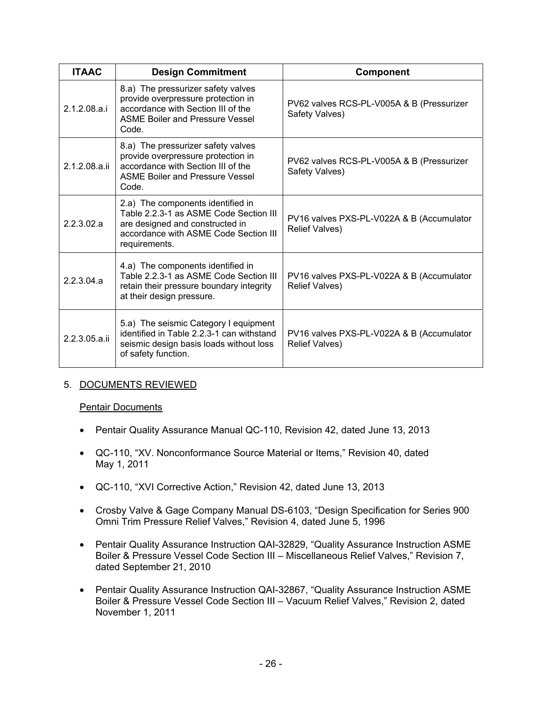| <b>ITAAC</b>  | <b>Design Commitment</b>                                                                                                                                                 | Component                                                          |
|---------------|--------------------------------------------------------------------------------------------------------------------------------------------------------------------------|--------------------------------------------------------------------|
| 2.1.2.08.a.i  | 8.a) The pressurizer safety valves<br>provide overpressure protection in<br>accordance with Section III of the<br><b>ASME Boiler and Pressure Vessel</b><br>Code.        | PV62 valves RCS-PL-V005A & B (Pressurizer<br>Safety Valves)        |
| 2.1.2.08.a.ii | 8.a) The pressurizer safety valves<br>provide overpressure protection in<br>accordance with Section III of the<br><b>ASME Boiler and Pressure Vessel</b><br>Code.        | PV62 valves RCS-PL-V005A & B (Pressurizer<br>Safety Valves)        |
| 2.2.3.02.a    | 2.a) The components identified in<br>Table 2.2.3-1 as ASME Code Section III<br>are designed and constructed in<br>accordance with ASME Code Section III<br>requirements. | PV16 valves PXS-PL-V022A & B (Accumulator<br>Relief Valves)        |
| 2.2.3.04.a    | 4.a) The components identified in<br>Table 2.2.3-1 as ASME Code Section III<br>retain their pressure boundary integrity<br>at their design pressure.                     | PV16 valves PXS-PL-V022A & B (Accumulator<br><b>Relief Valves)</b> |
| 2.2.3.05.a.ii | 5.a) The seismic Category I equipment<br>identified in Table 2.2.3-1 can withstand<br>seismic design basis loads without loss<br>of safety function.                     | PV16 valves PXS-PL-V022A & B (Accumulator<br><b>Relief Valves)</b> |

# 5. DOCUMENTS REVIEWED

## Pentair Documents

- Pentair Quality Assurance Manual QC-110, Revision 42, dated June 13, 2013
- QC-110, "XV. Nonconformance Source Material or Items," Revision 40, dated May 1, 2011
- QC-110, "XVI Corrective Action," Revision 42, dated June 13, 2013
- Crosby Valve & Gage Company Manual DS-6103, "Design Specification for Series 900 Omni Trim Pressure Relief Valves," Revision 4, dated June 5, 1996
- Pentair Quality Assurance Instruction QAI-32829, "Quality Assurance Instruction ASME Boiler & Pressure Vessel Code Section III – Miscellaneous Relief Valves," Revision 7, dated September 21, 2010
- Pentair Quality Assurance Instruction QAI-32867, "Quality Assurance Instruction ASME Boiler & Pressure Vessel Code Section III – Vacuum Relief Valves," Revision 2, dated November 1, 2011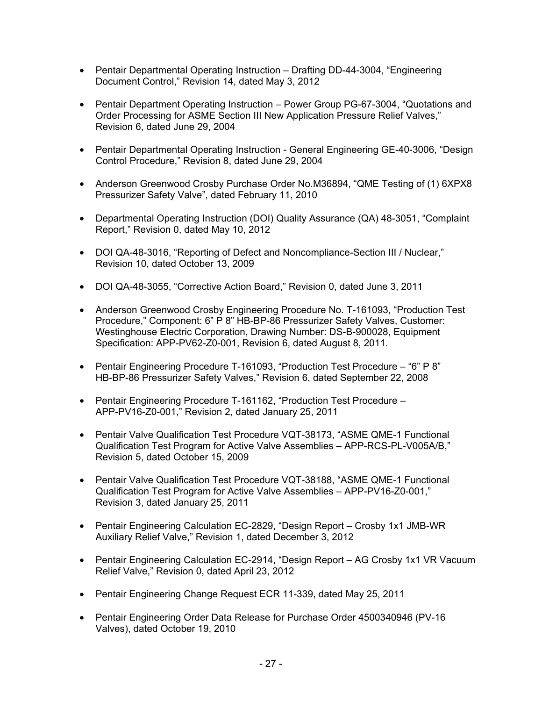- Pentair Departmental Operating Instruction Drafting DD-44-3004, "Engineering Document Control," Revision 14, dated May 3, 2012
- Pentair Department Operating Instruction Power Group PG-67-3004, "Quotations and Order Processing for ASME Section III New Application Pressure Relief Valves," Revision 6, dated June 29, 2004
- Pentair Departmental Operating Instruction General Engineering GE-40-3006, "Design Control Procedure," Revision 8, dated June 29, 2004
- Anderson Greenwood Crosby Purchase Order No.M36894, "QME Testing of (1) 6XPX8 Pressurizer Safety Valve", dated February 11, 2010
- Departmental Operating Instruction (DOI) Quality Assurance (QA) 48-3051, "Complaint Report," Revision 0, dated May 10, 2012
- DOI QA-48-3016, "Reporting of Defect and Noncompliance-Section III / Nuclear," Revision 10, dated October 13, 2009
- DOI QA-48-3055, "Corrective Action Board," Revision 0, dated June 3, 2011
- Anderson Greenwood Crosby Engineering Procedure No. T-161093, "Production Test Procedure," Component: 6" P 8" HB-BP-86 Pressurizer Safety Valves, Customer: Westinghouse Electric Corporation, Drawing Number: DS-B-900028, Equipment Specification: APP-PV62-Z0-001, Revision 6, dated August 8, 2011.
- Pentair Engineering Procedure T-161093, "Production Test Procedure "6" P 8" HB-BP-86 Pressurizer Safety Valves," Revision 6, dated September 22, 2008
- Pentair Engineering Procedure T-161162, "Production Test Procedure APP-PV16-Z0-001," Revision 2, dated January 25, 2011
- Pentair Valve Qualification Test Procedure VQT-38173, "ASME QME-1 Functional Qualification Test Program for Active Valve Assemblies – APP-RCS-PL-V005A/B," Revision 5, dated October 15, 2009
- Pentair Valve Qualification Test Procedure VQT-38188, "ASME QME-1 Functional Qualification Test Program for Active Valve Assemblies – APP-PV16-Z0-001," Revision 3, dated January 25, 2011
- Pentair Engineering Calculation EC-2829, "Design Report Crosby 1x1 JMB-WR Auxiliary Relief Valve," Revision 1, dated December 3, 2012
- Pentair Engineering Calculation EC-2914, "Design Report AG Crosby 1x1 VR Vacuum Relief Valve," Revision 0, dated April 23, 2012
- Pentair Engineering Change Request ECR 11-339, dated May 25, 2011
- Pentair Engineering Order Data Release for Purchase Order 4500340946 (PV-16 Valves), dated October 19, 2010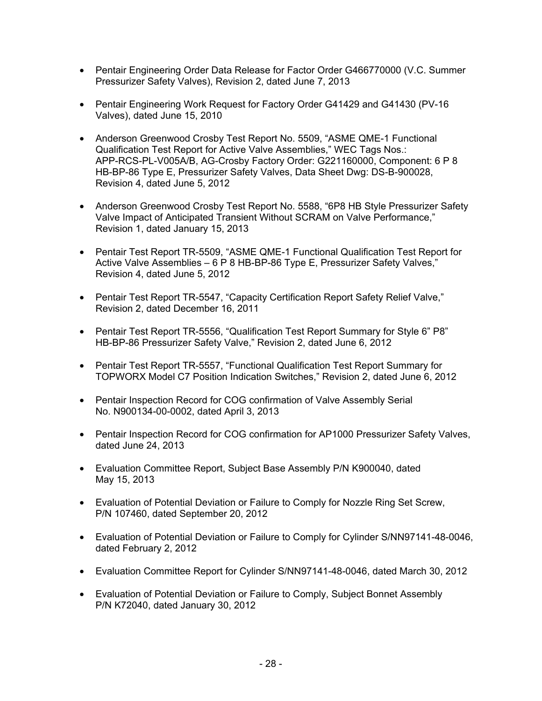- Pentair Engineering Order Data Release for Factor Order G466770000 (V.C. Summer Pressurizer Safety Valves), Revision 2, dated June 7, 2013
- Pentair Engineering Work Request for Factory Order G41429 and G41430 (PV-16 Valves), dated June 15, 2010
- Anderson Greenwood Crosby Test Report No. 5509, "ASME QME-1 Functional Qualification Test Report for Active Valve Assemblies," WEC Tags Nos.: APP-RCS-PL-V005A/B, AG-Crosby Factory Order: G221160000, Component: 6 P 8 HB-BP-86 Type E, Pressurizer Safety Valves, Data Sheet Dwg: DS-B-900028, Revision 4, dated June 5, 2012
- Anderson Greenwood Crosby Test Report No. 5588, "6P8 HB Style Pressurizer Safety Valve Impact of Anticipated Transient Without SCRAM on Valve Performance," Revision 1, dated January 15, 2013
- Pentair Test Report TR-5509, "ASME QME-1 Functional Qualification Test Report for Active Valve Assemblies – 6 P 8 HB-BP-86 Type E, Pressurizer Safety Valves," Revision 4, dated June 5, 2012
- Pentair Test Report TR-5547, "Capacity Certification Report Safety Relief Valve," Revision 2, dated December 16, 2011
- Pentair Test Report TR-5556, "Qualification Test Report Summary for Style 6" P8" HB-BP-86 Pressurizer Safety Valve," Revision 2, dated June 6, 2012
- Pentair Test Report TR-5557, "Functional Qualification Test Report Summary for TOPWORX Model C7 Position Indication Switches," Revision 2, dated June 6, 2012
- Pentair Inspection Record for COG confirmation of Valve Assembly Serial No. N900134-00-0002, dated April 3, 2013
- Pentair Inspection Record for COG confirmation for AP1000 Pressurizer Safety Valves, dated June 24, 2013
- Evaluation Committee Report, Subject Base Assembly P/N K900040, dated May 15, 2013
- Evaluation of Potential Deviation or Failure to Comply for Nozzle Ring Set Screw, P/N 107460, dated September 20, 2012
- Evaluation of Potential Deviation or Failure to Comply for Cylinder S/NN97141-48-0046, dated February 2, 2012
- Evaluation Committee Report for Cylinder S/NN97141-48-0046, dated March 30, 2012
- Evaluation of Potential Deviation or Failure to Comply, Subject Bonnet Assembly P/N K72040, dated January 30, 2012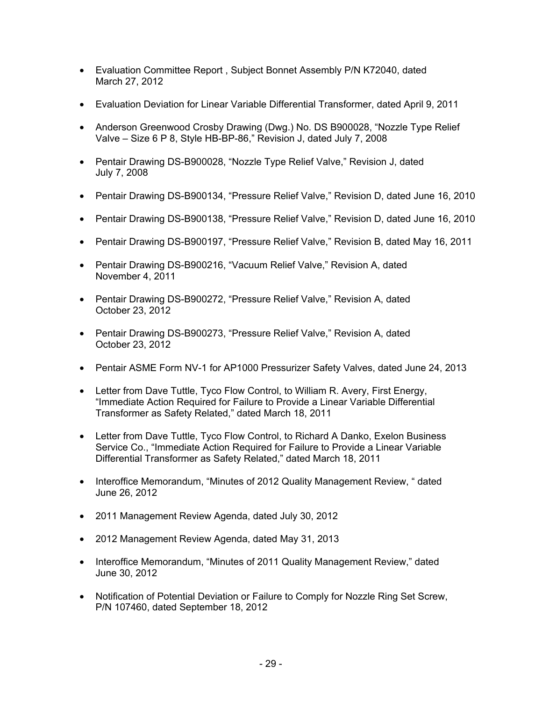- Evaluation Committee Report , Subject Bonnet Assembly P/N K72040, dated March 27, 2012
- Evaluation Deviation for Linear Variable Differential Transformer, dated April 9, 2011
- Anderson Greenwood Crosby Drawing (Dwg.) No. DS B900028, "Nozzle Type Relief Valve – Size 6 P 8, Style HB-BP-86," Revision J, dated July 7, 2008
- Pentair Drawing DS-B900028, "Nozzle Type Relief Valve," Revision J, dated July 7, 2008
- Pentair Drawing DS-B900134, "Pressure Relief Valve," Revision D, dated June 16, 2010
- Pentair Drawing DS-B900138, "Pressure Relief Valve," Revision D, dated June 16, 2010
- Pentair Drawing DS-B900197, "Pressure Relief Valve," Revision B, dated May 16, 2011
- Pentair Drawing DS-B900216, "Vacuum Relief Valve," Revision A, dated November 4, 2011
- Pentair Drawing DS-B900272, "Pressure Relief Valve," Revision A, dated October 23, 2012
- Pentair Drawing DS-B900273, "Pressure Relief Valve," Revision A, dated October 23, 2012
- Pentair ASME Form NV-1 for AP1000 Pressurizer Safety Valves, dated June 24, 2013
- Letter from Dave Tuttle, Tyco Flow Control, to William R. Avery, First Energy, "Immediate Action Required for Failure to Provide a Linear Variable Differential Transformer as Safety Related," dated March 18, 2011
- Letter from Dave Tuttle, Tyco Flow Control, to Richard A Danko, Exelon Business Service Co., "Immediate Action Required for Failure to Provide a Linear Variable Differential Transformer as Safety Related," dated March 18, 2011
- Interoffice Memorandum, "Minutes of 2012 Quality Management Review, " dated June 26, 2012
- 2011 Management Review Agenda, dated July 30, 2012
- 2012 Management Review Agenda, dated May 31, 2013
- Interoffice Memorandum, "Minutes of 2011 Quality Management Review," dated June 30, 2012
- Notification of Potential Deviation or Failure to Comply for Nozzle Ring Set Screw, P/N 107460, dated September 18, 2012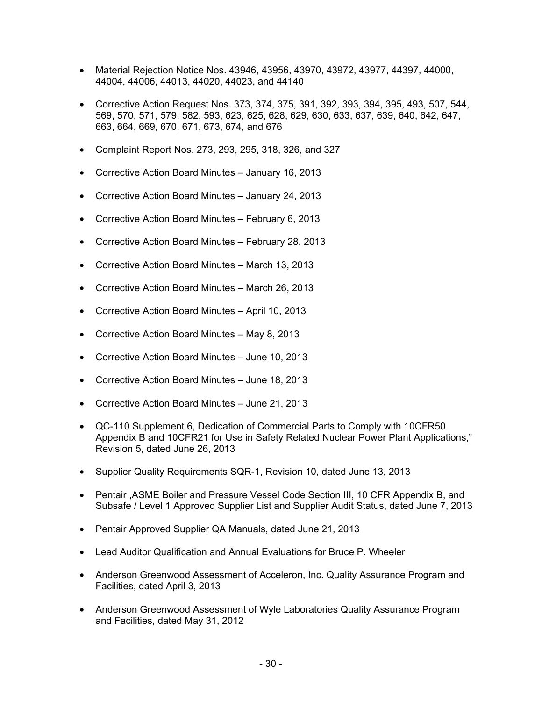- Material Rejection Notice Nos. 43946, 43956, 43970, 43972, 43977, 44397, 44000, 44004, 44006, 44013, 44020, 44023, and 44140
- Corrective Action Request Nos. 373, 374, 375, 391, 392, 393, 394, 395, 493, 507, 544, 569, 570, 571, 579, 582, 593, 623, 625, 628, 629, 630, 633, 637, 639, 640, 642, 647, 663, 664, 669, 670, 671, 673, 674, and 676
- Complaint Report Nos. 273, 293, 295, 318, 326, and 327
- Corrective Action Board Minutes January 16, 2013
- Corrective Action Board Minutes January 24, 2013
- Corrective Action Board Minutes February 6, 2013
- Corrective Action Board Minutes February 28, 2013
- Corrective Action Board Minutes March 13, 2013
- Corrective Action Board Minutes March 26, 2013
- Corrective Action Board Minutes April 10, 2013
- Corrective Action Board Minutes May 8, 2013
- Corrective Action Board Minutes June 10, 2013
- Corrective Action Board Minutes June 18, 2013
- Corrective Action Board Minutes June 21, 2013
- QC-110 Supplement 6, Dedication of Commercial Parts to Comply with 10CFR50 Appendix B and 10CFR21 for Use in Safety Related Nuclear Power Plant Applications," Revision 5, dated June 26, 2013
- Supplier Quality Requirements SQR-1, Revision 10, dated June 13, 2013
- Pentair ,ASME Boiler and Pressure Vessel Code Section III, 10 CFR Appendix B, and Subsafe / Level 1 Approved Supplier List and Supplier Audit Status, dated June 7, 2013
- Pentair Approved Supplier QA Manuals, dated June 21, 2013
- Lead Auditor Qualification and Annual Evaluations for Bruce P. Wheeler
- Anderson Greenwood Assessment of Acceleron, Inc. Quality Assurance Program and Facilities, dated April 3, 2013
- Anderson Greenwood Assessment of Wyle Laboratories Quality Assurance Program and Facilities, dated May 31, 2012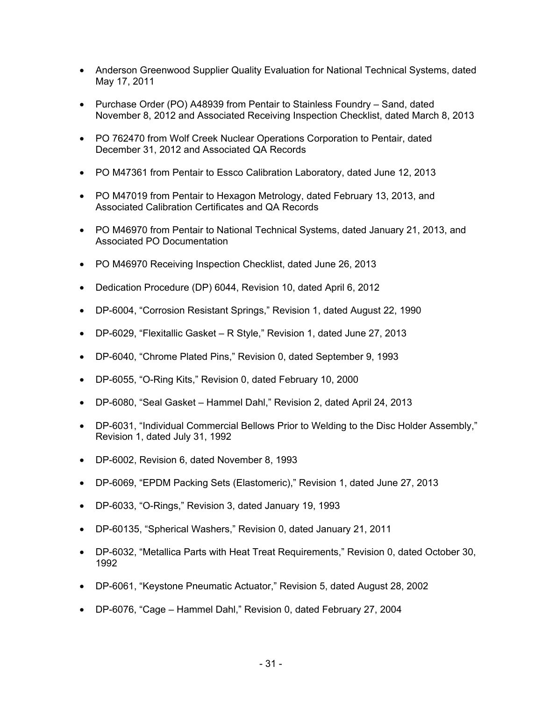- Anderson Greenwood Supplier Quality Evaluation for National Technical Systems, dated May 17, 2011
- Purchase Order (PO) A48939 from Pentair to Stainless Foundry Sand, dated November 8, 2012 and Associated Receiving Inspection Checklist, dated March 8, 2013
- PO 762470 from Wolf Creek Nuclear Operations Corporation to Pentair, dated December 31, 2012 and Associated QA Records
- PO M47361 from Pentair to Essco Calibration Laboratory, dated June 12, 2013
- PO M47019 from Pentair to Hexagon Metrology, dated February 13, 2013, and Associated Calibration Certificates and QA Records
- PO M46970 from Pentair to National Technical Systems, dated January 21, 2013, and Associated PO Documentation
- PO M46970 Receiving Inspection Checklist, dated June 26, 2013
- Dedication Procedure (DP) 6044, Revision 10, dated April 6, 2012
- DP-6004, "Corrosion Resistant Springs," Revision 1, dated August 22, 1990
- DP-6029, "Flexitallic Gasket R Style," Revision 1, dated June 27, 2013
- DP-6040, "Chrome Plated Pins," Revision 0, dated September 9, 1993
- DP-6055, "O-Ring Kits," Revision 0, dated February 10, 2000
- DP-6080, "Seal Gasket Hammel Dahl," Revision 2, dated April 24, 2013
- DP-6031, "Individual Commercial Bellows Prior to Welding to the Disc Holder Assembly," Revision 1, dated July 31, 1992
- DP-6002, Revision 6, dated November 8, 1993
- DP-6069, "EPDM Packing Sets (Elastomeric)," Revision 1, dated June 27, 2013
- DP-6033, "O-Rings," Revision 3, dated January 19, 1993
- DP-60135, "Spherical Washers," Revision 0, dated January 21, 2011
- DP-6032, "Metallica Parts with Heat Treat Requirements," Revision 0, dated October 30, 1992
- DP-6061, "Keystone Pneumatic Actuator," Revision 5, dated August 28, 2002
- DP-6076, "Cage Hammel Dahl," Revision 0, dated February 27, 2004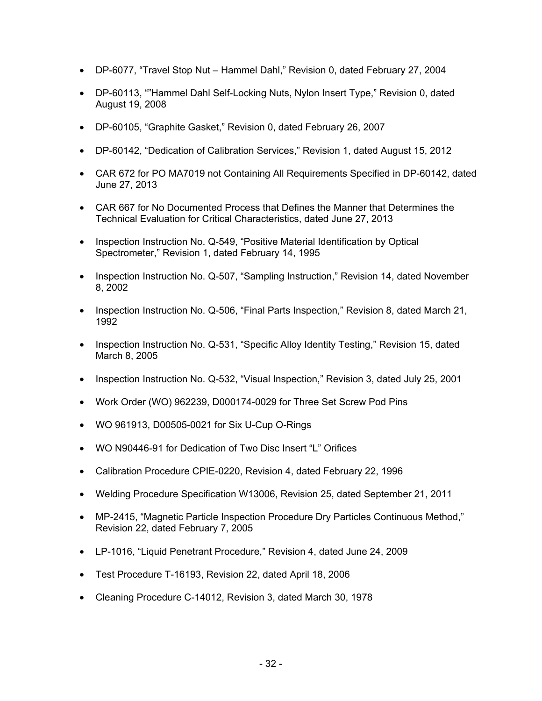- DP-6077, "Travel Stop Nut Hammel Dahl," Revision 0, dated February 27, 2004
- DP-60113, ""Hammel Dahl Self-Locking Nuts, Nylon Insert Type," Revision 0, dated August 19, 2008
- DP-60105, "Graphite Gasket," Revision 0, dated February 26, 2007
- DP-60142, "Dedication of Calibration Services," Revision 1, dated August 15, 2012
- CAR 672 for PO MA7019 not Containing All Requirements Specified in DP-60142, dated June 27, 2013
- CAR 667 for No Documented Process that Defines the Manner that Determines the Technical Evaluation for Critical Characteristics, dated June 27, 2013
- Inspection Instruction No. Q-549, "Positive Material Identification by Optical Spectrometer," Revision 1, dated February 14, 1995
- Inspection Instruction No. Q-507, "Sampling Instruction," Revision 14, dated November 8, 2002
- Inspection Instruction No. Q-506, "Final Parts Inspection," Revision 8, dated March 21, 1992
- Inspection Instruction No. Q-531, "Specific Alloy Identity Testing," Revision 15, dated March 8, 2005
- Inspection Instruction No. Q-532, "Visual Inspection," Revision 3, dated July 25, 2001
- Work Order (WO) 962239, D000174-0029 for Three Set Screw Pod Pins
- WO 961913, D00505-0021 for Six U-Cup O-Rings
- WO N90446-91 for Dedication of Two Disc Insert "L" Orifices
- Calibration Procedure CPIE-0220, Revision 4, dated February 22, 1996
- Welding Procedure Specification W13006, Revision 25, dated September 21, 2011
- MP-2415, "Magnetic Particle Inspection Procedure Dry Particles Continuous Method," Revision 22, dated February 7, 2005
- LP-1016, "Liquid Penetrant Procedure," Revision 4, dated June 24, 2009
- Test Procedure T-16193, Revision 22, dated April 18, 2006
- Cleaning Procedure C-14012, Revision 3, dated March 30, 1978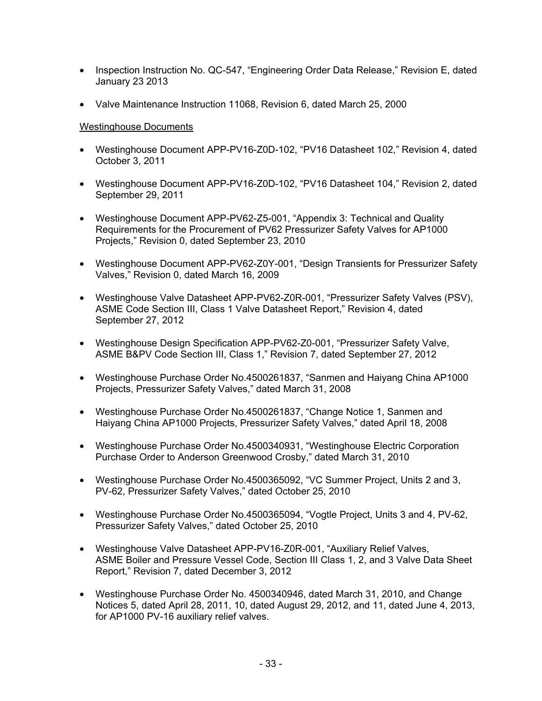- Inspection Instruction No. QC-547, "Engineering Order Data Release," Revision E, dated January 23 2013
- Valve Maintenance Instruction 11068, Revision 6, dated March 25, 2000

## Westinghouse Documents

- Westinghouse Document APP-PV16-Z0D-102, "PV16 Datasheet 102," Revision 4, dated October 3, 2011
- Westinghouse Document APP-PV16-Z0D-102, "PV16 Datasheet 104," Revision 2, dated September 29, 2011
- Westinghouse Document APP-PV62-Z5-001, "Appendix 3: Technical and Quality Requirements for the Procurement of PV62 Pressurizer Safety Valves for AP1000 Projects," Revision 0, dated September 23, 2010
- Westinghouse Document APP-PV62-Z0Y-001, "Design Transients for Pressurizer Safety Valves," Revision 0, dated March 16, 2009
- Westinghouse Valve Datasheet APP-PV62-Z0R-001, "Pressurizer Safety Valves (PSV), ASME Code Section III, Class 1 Valve Datasheet Report," Revision 4, dated September 27, 2012
- Westinghouse Design Specification APP-PV62-Z0-001, "Pressurizer Safety Valve, ASME B&PV Code Section III, Class 1," Revision 7, dated September 27, 2012
- Westinghouse Purchase Order No.4500261837, "Sanmen and Haiyang China AP1000 Projects, Pressurizer Safety Valves," dated March 31, 2008
- Westinghouse Purchase Order No.4500261837, "Change Notice 1, Sanmen and Haiyang China AP1000 Projects, Pressurizer Safety Valves," dated April 18, 2008
- Westinghouse Purchase Order No.4500340931, "Westinghouse Electric Corporation Purchase Order to Anderson Greenwood Crosby," dated March 31, 2010
- Westinghouse Purchase Order No.4500365092, "VC Summer Project, Units 2 and 3, PV-62, Pressurizer Safety Valves," dated October 25, 2010
- Westinghouse Purchase Order No.4500365094, "Vogtle Project, Units 3 and 4, PV-62, Pressurizer Safety Valves," dated October 25, 2010
- Westinghouse Valve Datasheet APP-PV16-Z0R-001, "Auxiliary Relief Valves, ASME Boiler and Pressure Vessel Code, Section III Class 1, 2, and 3 Valve Data Sheet Report," Revision 7, dated December 3, 2012
- Westinghouse Purchase Order No. 4500340946, dated March 31, 2010, and Change Notices 5, dated April 28, 2011, 10, dated August 29, 2012, and 11, dated June 4, 2013, for AP1000 PV-16 auxiliary relief valves.